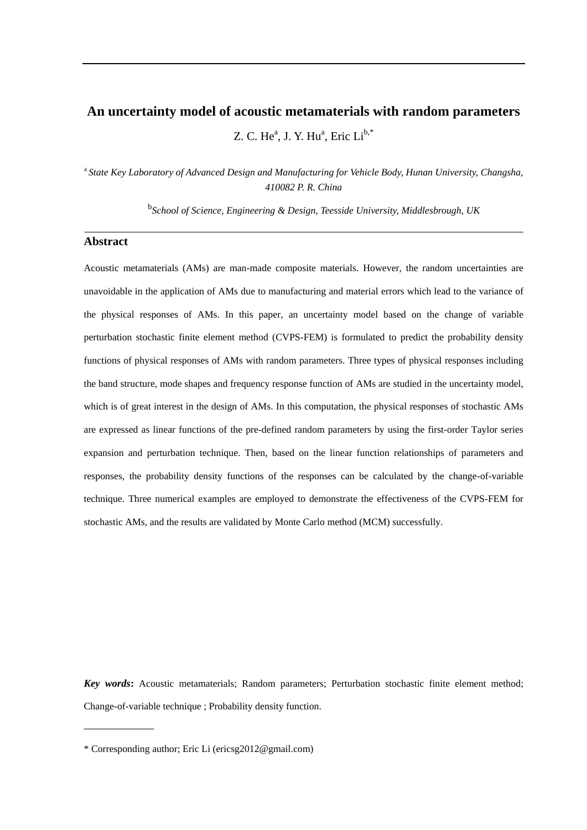# **An uncertainty model of acoustic metamaterials with random parameters** Z. C. He $^{\text{a}}$ , J. Y. Hu $^{\text{a}}$ , Eric Li $^{\text{b},\ast}$

<sup>a</sup>*State Key Laboratory of Advanced Design and Manufacturing for Vehicle Body, Hunan University, Changsha, 410082 P. R. China*

b *School of Science, Engineering & Design, Teesside University, Middlesbrough, UK*

### **Abstract**

Acoustic metamaterials (AMs) are man-made composite materials. However, the random uncertainties are unavoidable in the application of AMs due to manufacturing and material errors which lead to the variance of the physical responses of AMs. In this paper, an uncertainty model based on the change of variable perturbation stochastic finite element method (CVPS-FEM) is formulated to predict the probability density functions of physical responses of AMs with random parameters. Three types of physical responses including the band structure, mode shapes and frequency response function of AMs are studied in the uncertainty model, which is of great interest in the design of AMs. In this computation, the physical responses of stochastic AMs are expressed as linear functions of the pre-defined random parameters by using the first-order Taylor series expansion and perturbation technique. Then, based on the linear function relationships of parameters and responses, the probability density functions of the responses can be calculated by the change-of-variable technique. Three numerical examples are employed to demonstrate the effectiveness of the CVPS-FEM for stochastic AMs, and the results are validated by Monte Carlo method (MCM) successfully.

*Key words***:** Acoustic metamaterials; Random parameters; Perturbation stochastic finite element method; Change-of-variable technique ; Probability density function.

<sup>\*</sup> Corresponding author; Eric Li (ericsg2012@gmail.com)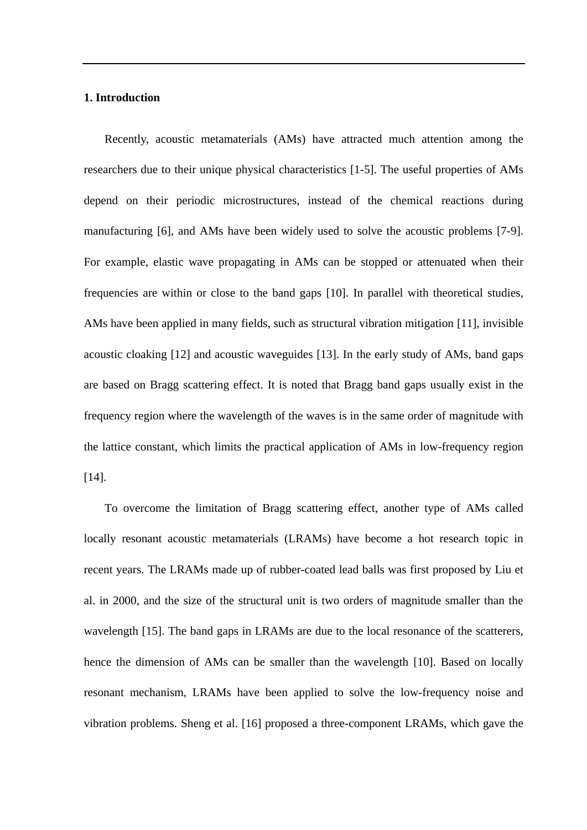### **1. Introduction**

Recently, acoustic metamaterials (AMs) have attracted much attention among the researchers due to their unique physical characteristics [\[1-5\]](#page-36-0). The useful properties of AMs depend on their periodic microstructures, instead of the chemical reactions during manufacturing [\[6\]](#page-36-1), and AMs have been widely used to solve the acoustic problems [\[7-9\]](#page-36-2). For example, elastic wave propagating in AMs can be stopped or attenuated when their frequencies are within or close to the band gaps [\[10\]](#page-36-3). In parallel with theoretical studies, AMs have been applied in many fields, such as structural vibration mitigation [\[11\]](#page-36-4), invisible acoustic cloaking [\[12\]](#page-37-0) and acoustic waveguides [\[13\]](#page-37-1). In the early study of AMs, band gaps are based on Bragg scattering effect. It is noted that Bragg band gaps usually exist in the frequency region where the wavelength of the waves is in the same order of magnitude with the lattice constant, which limits the practical application of AMs in low-frequency region  $[14]$ .

To overcome the limitation of Bragg scattering effect, another type of AMs called locally resonant acoustic metamaterials (LRAMs) have become a hot research topic in recent years. The LRAMs made up of rubber-coated lead balls was first proposed by Liu et al. in 2000, and the size of the structural unit is two orders of magnitude smaller than the wavelength [\[15\]](#page-37-3). The band gaps in LRAMs are due to the local resonance of the scatterers, hence the dimension of AMs can be smaller than the wavelength [\[10\]](#page-36-3). Based on locally resonant mechanism, LRAMs have been applied to solve the low-frequency noise and vibration problems. Sheng et al. [\[16\]](#page-37-4) proposed a three-component LRAMs, which gave the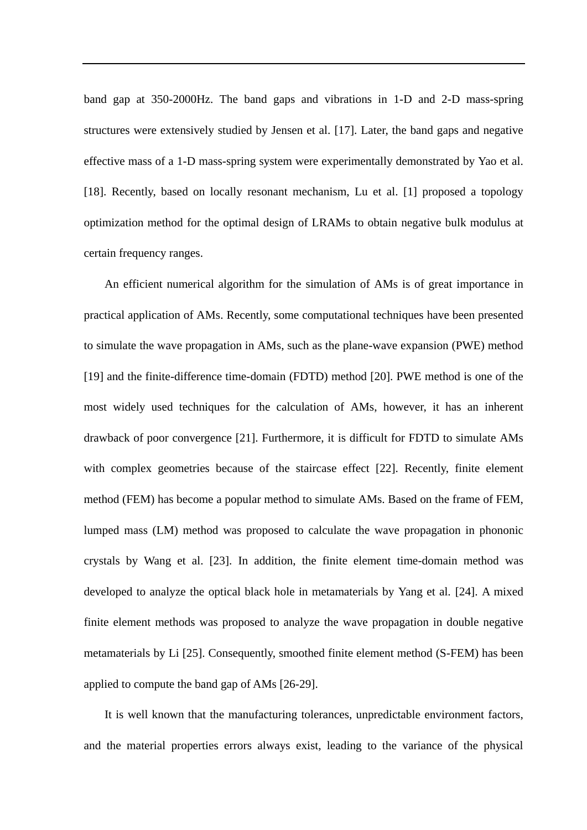band gap at 350-2000Hz. The band gaps and vibrations in 1-D and 2-D mass-spring structures were extensively studied by Jensen et al. [\[17\]](#page-37-5). Later, the band gaps and negative effective mass of a 1-D mass-spring system were experimentally demonstrated by Yao et al. [\[18\]](#page-37-6). Recently, based on locally resonant mechanism, Lu et al. [\[1\]](#page-36-0) proposed a topology optimization method for the optimal design of LRAMs to obtain negative bulk modulus at certain frequency ranges.

An efficient numerical algorithm for the simulation of AMs is of great importance in practical application of AMs. Recently, some computational techniques have been presented to simulate the wave propagation in AMs, such as the plane-wave expansion (PWE) method [\[19\]](#page-37-7) and the finite-difference time-domain (FDTD) method [\[20\]](#page-37-8). PWE method is one of the most widely used techniques for the calculation of AMs, however, it has an inherent drawback of poor convergence [\[21\]](#page-37-9). Furthermore, it is difficult for FDTD to simulate AMs with complex geometries because of the staircase effect [\[22\]](#page-37-10). Recently, finite element method (FEM) has become a popular method to simulate AMs. Based on the frame of FEM, lumped mass (LM) method was proposed to calculate the wave propagation in phononic crystals by Wang et al. [\[23\]](#page-37-11). In addition, the finite element time-domain method was developed to analyze the optical black hole in metamaterials by Yang et al. [\[24\]](#page-37-12). A mixed finite element methods was proposed to analyze the wave propagation in double negative metamaterials by Li [\[25\]](#page-38-0). Consequently, smoothed finite element method (S-FEM) has been applied to compute the band gap of AMs [\[26-29\]](#page-38-1).

It is well known that the manufacturing tolerances, unpredictable environment factors, and the material properties errors always exist, leading to the variance of the physical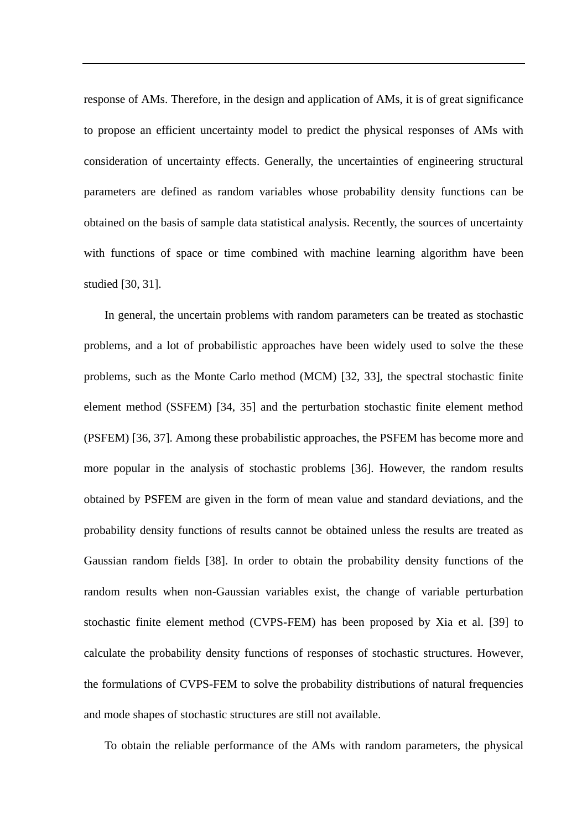response of AMs. Therefore, in the design and application of AMs, it is of great significance to propose an efficient uncertainty model to predict the physical responses of AMs with consideration of uncertainty effects. Generally, the uncertainties of engineering structural parameters are defined as random variables whose probability density functions can be obtained on the basis of sample data statistical analysis. Recently, the sources of uncertainty with functions of space or time combined with machine learning algorithm have been studied [\[30,](#page-38-2) [31\]](#page-38-3).

In general, the uncertain problems with random parameters can be treated as stochastic problems, and a lot of probabilistic approaches have been widely used to solve the these problems, such as the Monte Carlo method (MCM) [\[32,](#page-38-4) [33\]](#page-38-5), the spectral stochastic finite element method (SSFEM) [\[34,](#page-38-6) [35\]](#page-38-7) and the perturbation stochastic finite element method (PSFEM) [\[36,](#page-38-8) [37\]](#page-39-0). Among these probabilistic approaches, the PSFEM has become more and more popular in the analysis of stochastic problems [\[36\]](#page-38-8). However, the random results obtained by PSFEM are given in the form of mean value and standard deviations, and the probability density functions of results cannot be obtained unless the results are treated as Gaussian random fields [\[38\]](#page-39-1). In order to obtain the probability density functions of the random results when non-Gaussian variables exist, the change of variable perturbation stochastic finite element method (CVPS-FEM) has been proposed by Xia et al. [\[39\]](#page-39-2) to calculate the probability density functions of responses of stochastic structures. However, the formulations of CVPS-FEM to solve the probability distributions of natural frequencies and mode shapes of stochastic structures are still not available.

To obtain the reliable performance of the AMs with random parameters, the physical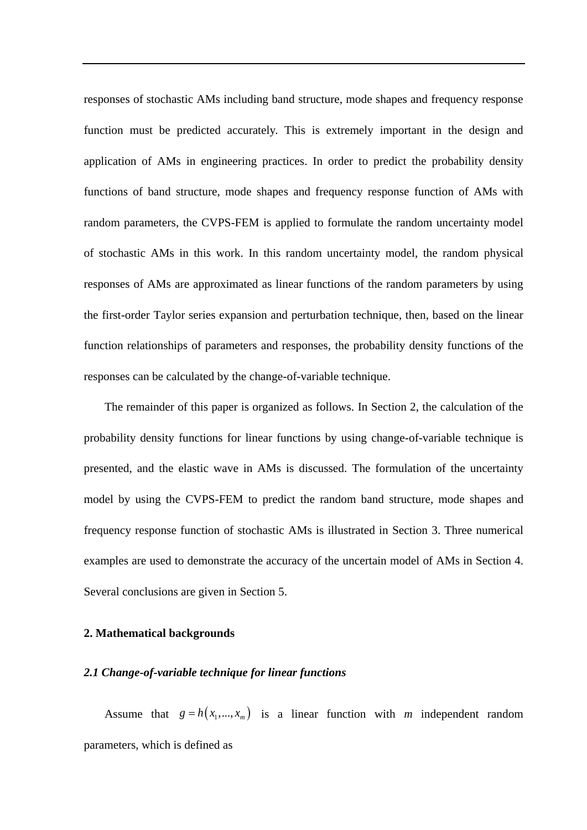responses of stochastic AMs including band structure, mode shapes and frequency response function must be predicted accurately. This is extremely important in the design and application of AMs in engineering practices. In order to predict the probability density functions of band structure, mode shapes and frequency response function of AMs with random parameters, the CVPS-FEM is applied to formulate the random uncertainty model of stochastic AMs in this work. In this random uncertainty model, the random physical responses of AMs are approximated as linear functions of the random parameters by using the first-order Taylor series expansion and perturbation technique, then, based on the linear function relationships of parameters and responses, the probability density functions of the responses can be calculated by the change-of-variable technique.

The remainder of this paper is organized as follows. In Section 2, the calculation of the probability density functions for linear functions by using change-of-variable technique is presented, and the elastic wave in AMs is discussed. The formulation of the uncertainty model by using the CVPS-FEM to predict the random band structure, mode shapes and frequency response function of stochastic AMs is illustrated in Section 3. Three numerical examples are used to demonstrate the accuracy of the uncertain model of AMs in Section 4. Several conclusions are given in Section 5.

#### **2. Mathematical backgrounds**

### *2.1 Change-of-variable technique for linear functions*

Assume that  $g = h(x_1,...,x_m)$  is a linear function with *m* independent random parameters, which is defined as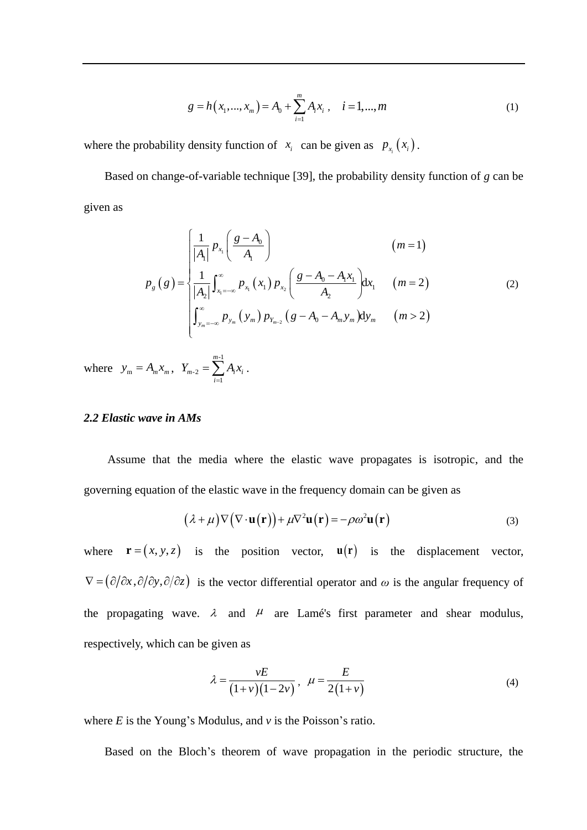$$
g = h(x_1, ..., x_m) = A_0 + \sum_{i=1}^{m} A_i x_i, \quad i = 1, ..., m
$$
 (1)

where the probability density function of  $x_i$  can be given as  $p_{x_i}(x_i)$ .

Based on change-of-variable technique [\[39\]](#page-39-2), the probability density function of *g* can be given as

$$
p_{g}(g) = \begin{cases} \frac{1}{|A_{1}|} p_{x_{1}} \left( \frac{g - A_{0}}{A_{1}} \right) & (m = 1) \\ \frac{1}{|A_{2}|} \int_{x_{1} = -\infty}^{\infty} p_{x_{1}} (x_{1}) p_{x_{2}} \left( \frac{g - A_{0} - A_{1}x_{1}}{A_{2}} \right) dx_{1} & (m = 2) \\ \int_{y_{m} = -\infty}^{\infty} p_{y_{m}} (y_{m}) p_{Y_{m-2}} (g - A_{0} - A_{m}y_{m}) dy_{m} & (m > 2) \end{cases}
$$
(2)

where  $y_m = A_m x_m$ ,  $Y_{m-2} = \sum_{m=1}^{m-1}$ -2 1 *m*  $m-2 = \sum_i A_i A_i$ *i*  $Y_{m-2} = \sum A_i x_i$  $=\sum_{i=1}A_i x_i$ .

#### *2.2 Elastic wave in AMs*

Assume that the media where the elastic wave propagates is isotropic, and the governing equation of the elastic wave in the frequency domain can be given as

$$
(\lambda + \mu) \nabla (\nabla \cdot \mathbf{u}(\mathbf{r})) + \mu \nabla^2 \mathbf{u}(\mathbf{r}) = -\rho \omega^2 \mathbf{u}(\mathbf{r})
$$
(3)

where  $\mathbf{r} = (x, y, z)$  is the position vector,  $\mathbf{u}(\mathbf{r})$  is the displacement vector,  $\nabla = (\partial/\partial x, \partial/\partial y, \partial/\partial z)$  is the vector differential operator and  $\omega$  is the angular frequency of the propagating wave.  $\lambda$  and  $\mu$  are Lamés first parameter and shear modulus, respectively, which can be given as

$$
\lambda = \frac{\nu E}{(1+\nu)(1-2\nu)}, \quad \mu = \frac{E}{2(1+\nu)}\tag{4}
$$

where *E* is the Young's Modulus, and *v* is the Poisson's ratio.

Based on the Bloch's theorem of wave propagation in the periodic structure, the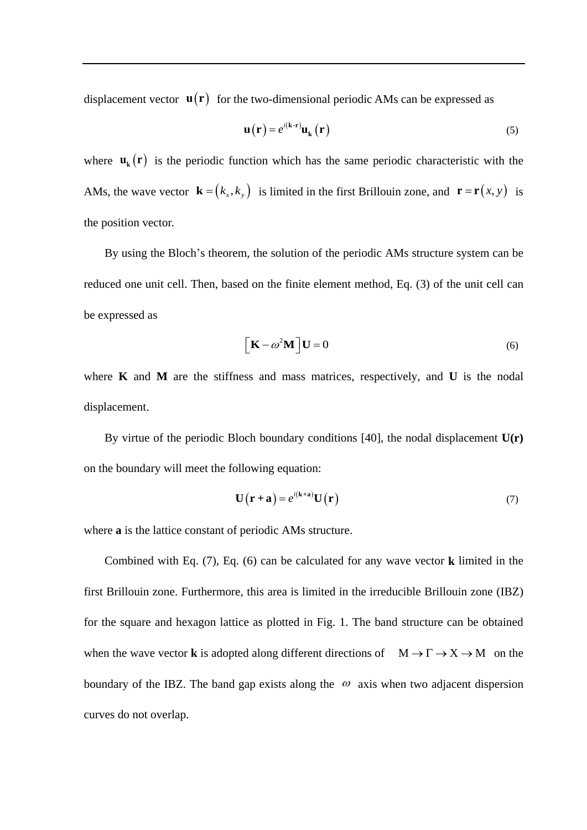displacement vector  $\mathbf{u}(\mathbf{r})$  for the two-dimensional periodic AMs can be expressed as

$$
\mathbf{u}(\mathbf{r}) = e^{i(\mathbf{k} \cdot \mathbf{r})} \mathbf{u}_{\mathbf{k}}(\mathbf{r})
$$
 (5)

where  $\mathbf{u}_{k}(\mathbf{r})$  is the periodic function which has the same periodic characteristic with the AMs, the wave vector  $\mathbf{k} = (k_x, k_y)$  is limited in the first Brillouin zone, and  $\mathbf{r} = \mathbf{r}(x, y)$  is the position vector.

By using the Bloch's theorem, the solution of the periodic AMs structure system can be reduced one unit cell. Then, based on the finite element method, Eq. (3) of the unit cell can be expressed as

$$
\left[\mathbf{K} - \omega^2 \mathbf{M}\right] \mathbf{U} = 0\tag{6}
$$

where **K** and **M** are the stiffness and mass matrices, respectively, and **U** is the nodal displacement.

By virtue of the periodic Bloch boundary conditions [\[40\]](#page-39-3), the nodal displacement **U(r)** on the boundary will meet the following equation:

$$
\mathbf{U}(\mathbf{r} + \mathbf{a}) = e^{i(\mathbf{k} + \mathbf{a})}\mathbf{U}(\mathbf{r})
$$
 (7)

where **a** is the lattice constant of periodic AMs structure.

Combined with Eq. (7), Eq. (6) can be calculated for any wave vector **k** limited in the first Brillouin zone. Furthermore, this area is limited in the irreducible Brillouin zone (IBZ) for the square and hexagon lattice as plotted in Fig. 1. The band structure can be obtained when the wave vector **k** is adopted along different directions of  $M \to \Gamma \to X \to M$  on the boundary of the IBZ. The band gap exists along the  $\omega$  axis when two adjacent dispersion curves do not overlap.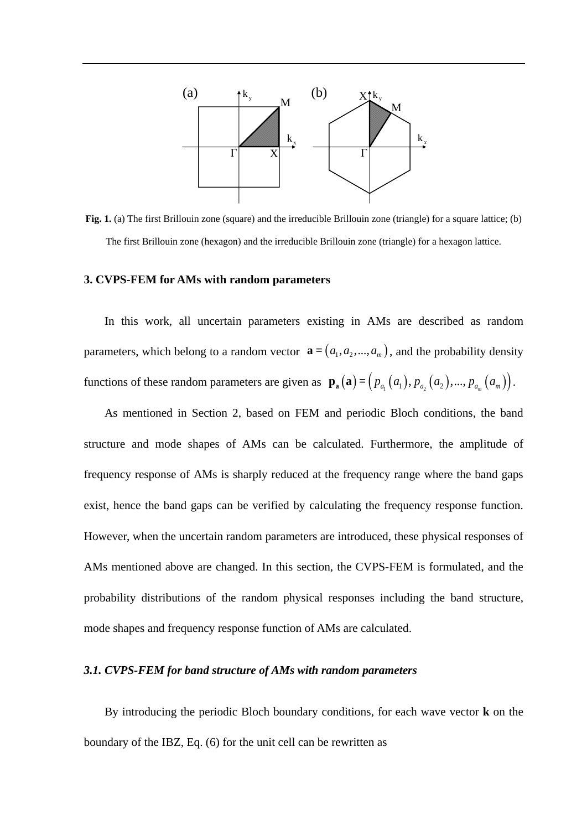

**Fig. 1.** (a) The first Brillouin zone (square) and the irreducible Brillouin zone (triangle) for a square lattice; (b) The first Brillouin zone (hexagon) and the irreducible Brillouin zone (triangle) for a hexagon lattice.

#### **3. CVPS-FEM for AMs with random parameters**

In this work, all uncertain parameters existing in AMs are described as random parameters, which belong to a random vector  $\mathbf{a} = (a_1, a_2, ..., a_m)$ , and the probability density functions of these random parameters are given as  $\mathbf{p}_a(\mathbf{a}) = (p_{a_1}(a_1), p_{a_2}(a_2), ..., p_{a_m}(a_m)).$ 

As mentioned in Section 2, based on FEM and periodic Bloch conditions, the band structure and mode shapes of AMs can be calculated. Furthermore, the amplitude of frequency response of AMs is sharply reduced at the frequency range where the band gaps exist, hence the band gaps can be verified by calculating the frequency response function. However, when the uncertain random parameters are introduced, these physical responses of AMs mentioned above are changed. In this section, the CVPS-FEM is formulated, and the probability distributions of the random physical responses including the band structure, mode shapes and frequency response function of AMs are calculated.

### *3.1. CVPS-FEM for band structure of AMs with random parameters*

By introducing the periodic Bloch boundary conditions, for each wave vector **k** on the boundary of the IBZ, Eq. (6) for the unit cell can be rewritten as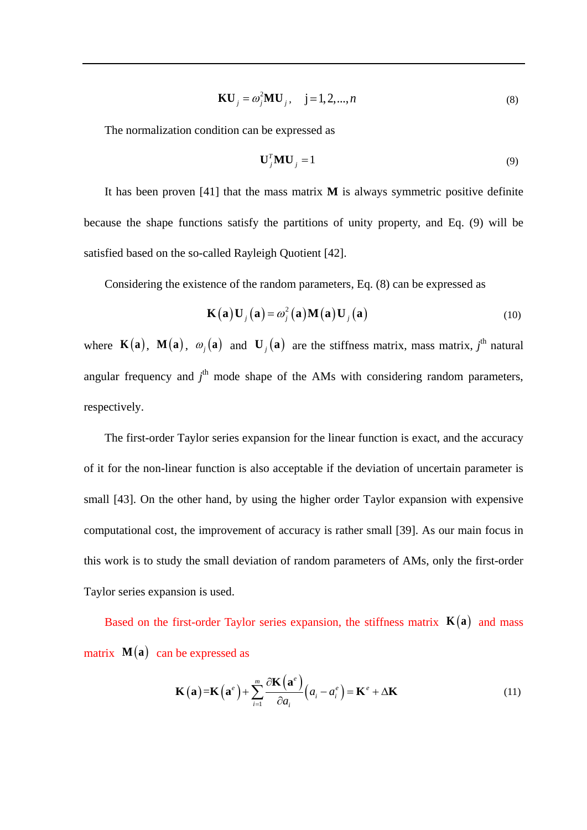$$
KU_j = \omega_j^2 MU_j, \quad j = 1, 2, ..., n
$$
 (8)

The normalization condition can be expressed as

$$
\mathbf{U}_{j}^{T}\mathbf{M}\mathbf{U}_{j} = 1\tag{9}
$$

It has been proven [\[41\]](#page-39-4) that the mass matrix **M** is always symmetric positive definite because the shape functions satisfy the partitions of unity property, and Eq. (9) will be satisfied based on the so-called Rayleigh Quotient [\[42\]](#page-39-5).

Considering the existence of the random parameters, Eq. (8) can be expressed as

$$
\mathbf{K}(\mathbf{a})\mathbf{U}_{j}(\mathbf{a}) = \omega_{j}^{2}(\mathbf{a})\mathbf{M}(\mathbf{a})\mathbf{U}_{j}(\mathbf{a})
$$
\n(10)

where  $\mathbf{K}(\mathbf{a})$ ,  $\mathbf{M}(\mathbf{a})$ ,  $\omega_j(\mathbf{a})$  and  $\mathbf{U}_j(\mathbf{a})$  are the stiffness matrix, mass matrix, j<sup>th</sup> natural angular frequency and  $j<sup>th</sup>$  mode shape of the AMs with considering random parameters, respectively.

The first-order Taylor series expansion for the linear function is exact, and the accuracy of it for the non-linear function is also acceptable if the deviation of uncertain parameter is small [\[43\]](#page-39-6). On the other hand, by using the higher order Taylor expansion with expensive computational cost, the improvement of accuracy is rather small [\[39\]](#page-39-2). As our main focus in this work is to study the small deviation of random parameters of AMs, only the first-order Taylor series expansion is used.

Based on the first-order Taylor series expansion, the stiffness matrix  $K(a)$  and mass matrix  $M(a)$  can be expressed as

$$
\mathbf{K}(\mathbf{a}) = \mathbf{K}(\mathbf{a}^e) + \sum_{i=1}^{m} \frac{\partial \mathbf{K}(\mathbf{a}^e)}{\partial a_i} (a_i - a_i^e) = \mathbf{K}^e + \Delta \mathbf{K}
$$
 (11)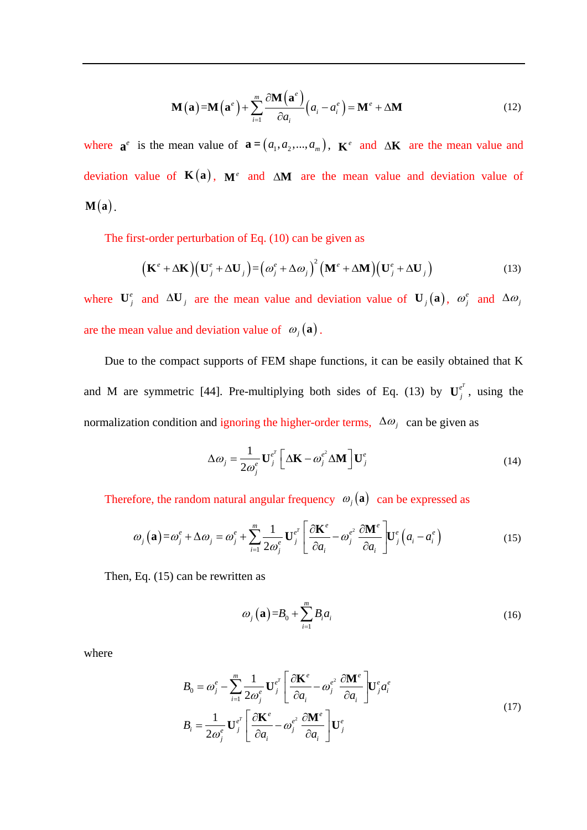$$
\mathbf{M}(\mathbf{a}) = \mathbf{M}(\mathbf{a}^e) + \sum_{i=1}^{m} \frac{\partial \mathbf{M}(\mathbf{a}^e)}{\partial a_i} (a_i - a_i^e) = \mathbf{M}^e + \Delta \mathbf{M}
$$
\n(12)

where  $\mathbf{a}^e$  is the mean value of  $\mathbf{a} = (a_1, a_2, ..., a_m)$ ,  $\mathbf{K}^e$  and  $\Delta \mathbf{K}$  are the mean value and deviation value of  $K(a)$ ,  $M^e$  and  $\Delta M$  are the mean value and deviation value of  $M(a)$ .

The first-order perturbation of Eq. (10) can be given as  
\n
$$
\left(\mathbf{K}^{e} + \Delta \mathbf{K}\right)\left(\mathbf{U}_{j}^{e} + \Delta \mathbf{U}_{j}\right) = \left(\omega_{j}^{e} + \Delta \omega_{j}\right)^{2}\left(\mathbf{M}^{e} + \Delta \mathbf{M}\right)\left(\mathbf{U}_{j}^{e} + \Delta \mathbf{U}_{j}\right)
$$
\n(13)

where  $\mathbf{U}_j^e$  and  $\Delta \mathbf{U}_j$  are the mean value and deviation value of  $\mathbf{U}_j(\mathbf{a})$ ,  $\omega_j^e$  and  $\Delta \omega_j$ are the mean value and deviation value of  $\omega_j(\mathbf{a})$ .

Due to the compact supports of FEM shape functions, it can be easily obtained that K and M are symmetric [\[44\]](#page-39-7). Pre-multiplying both sides of Eq. (13) by  $U_j^{e^T}$ , using the normalization condition and ignoring the higher-order terms,  $\Delta \omega_j$  can be given as

$$
\Delta \omega_j = \frac{1}{2\omega_j^e} \mathbf{U}_j^{e^T} \left[ \Delta \mathbf{K} - \omega_j^{e^2} \Delta \mathbf{M} \right] \mathbf{U}_j^e
$$
 (14)

Therefore, the random natural angular frequency 
$$
\omega_j(\mathbf{a})
$$
 can be expressed as  
\n
$$
\omega_j(\mathbf{a}) = \omega_j^e + \Delta \omega_j = \omega_j^e + \sum_{i=1}^m \frac{1}{2\omega_j^e} \mathbf{U}_j^{e^T} \left[ \frac{\partial \mathbf{K}^e}{\partial a_i} - \omega_j^{e^2} \frac{\partial \mathbf{M}^e}{\partial a_i} \right] \mathbf{U}_j^e (a_i - a_i^e)
$$
\n(15)

Then, Eq. (15) can be rewritten as

$$
\omega_j(\mathbf{a}) = B_0 + \sum_{i=1}^m B_i a_i \tag{16}
$$

where

$$
B_0 = \omega_j^e - \sum_{i=1}^m \frac{1}{2\omega_j^e} \mathbf{U}_j^{e^T} \left[ \frac{\partial \mathbf{K}^e}{\partial a_i} - \omega_j^{e^2} \frac{\partial \mathbf{M}^e}{\partial a_i} \right] \mathbf{U}_j^e a_i^e
$$
  
\n
$$
B_i = \frac{1}{2\omega_j^e} \mathbf{U}_j^{e^T} \left[ \frac{\partial \mathbf{K}^e}{\partial a_i} - \omega_j^{e^2} \frac{\partial \mathbf{M}^e}{\partial a_i} \right] \mathbf{U}_j^e
$$
\n(17)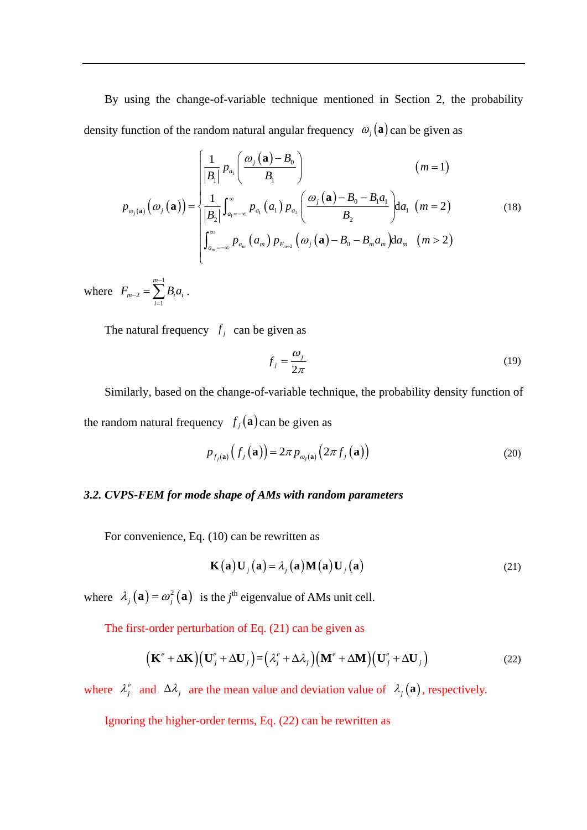By using the change-of-variable technique mentioned in Section 2, the probability

density function of the random natural angular frequency 
$$
\omega_j(\mathbf{a})
$$
 can be given as  
\n
$$
p_{\omega_j(\mathbf{a})}\Big(\omega_j(\mathbf{a})\Big) = \begin{cases}\n\frac{1}{|B_1|} p_{a_1} \left( \frac{\omega_j(\mathbf{a}) - B_0}{B_1} \right) & (m = 1) \\
\frac{1}{|B_2|} \int_{a_1 = -\infty}^{\infty} p_{a_1}(a_1) p_{a_2} \left( \frac{\omega_j(\mathbf{a}) - B_0 - B_1 a_1}{B_2} \right) da_1 \ (m = 2) \\
\int_{a_m = -\infty}^{\infty} p_{a_m}(a_m) p_{F_{m-2}}(\omega_j(\mathbf{a}) - B_0 - B_m a_m) da_m \ (m > 2)\n\end{cases}
$$
\n(18)

where 1 2 1 *m*  $_{m-2}$  -  $\sum$   $\bm{\nu}_i \bm{\mu}_i$ *i*  $F_{m-2} = \sum B_i a_i$ -- $=\sum_{i=1}B_i a_i$ .

The natural frequency  $f_i$  can be given as

$$
f_j = \frac{\omega_j}{2\pi} \tag{19}
$$

Similarly, based on the change-of-variable technique, the probability density function of the random natural frequency  $f_j(\mathbf{a})$  can be given as

$$
p_{f_j(\mathbf{a})}\left(f_j(\mathbf{a})\right) = 2\pi p_{\omega_j(\mathbf{a})}\left(2\pi f_j(\mathbf{a})\right)
$$
\n(20)

### *3.2. CVPS-FEM for mode shape of AMs with random parameters*

For convenience, Eq. (10) can be rewritten as

$$
\mathbf{K}(\mathbf{a})\mathbf{U}_{j}(\mathbf{a}) = \lambda_{j}(\mathbf{a})\mathbf{M}(\mathbf{a})\mathbf{U}_{j}(\mathbf{a})
$$
\n(21)

where  $\lambda_j(\mathbf{a}) = \omega_j^2(\mathbf{a})$  is the *j*<sup>th</sup> eigenvalue of AMs unit cell.

The first-order perturbation of Eq. (21) can be given as  
\n
$$
\left(\mathbf{K}^{e} + \Delta \mathbf{K}\right)\left(\mathbf{U}_{j}^{e} + \Delta \mathbf{U}_{j}\right) = \left(\lambda_{j}^{e} + \Delta \lambda_{j}\right)\left(\mathbf{M}^{e} + \Delta \mathbf{M}\right)\left(\mathbf{U}_{j}^{e} + \Delta \mathbf{U}_{j}\right)
$$
\n(22)

where  $\lambda_j^e$  and  $\Delta \lambda_j$  are the mean value and deviation value of  $\lambda_j(\mathbf{a})$ , respectively.

Ignoring the higher-order terms, Eq. (22) can be rewritten as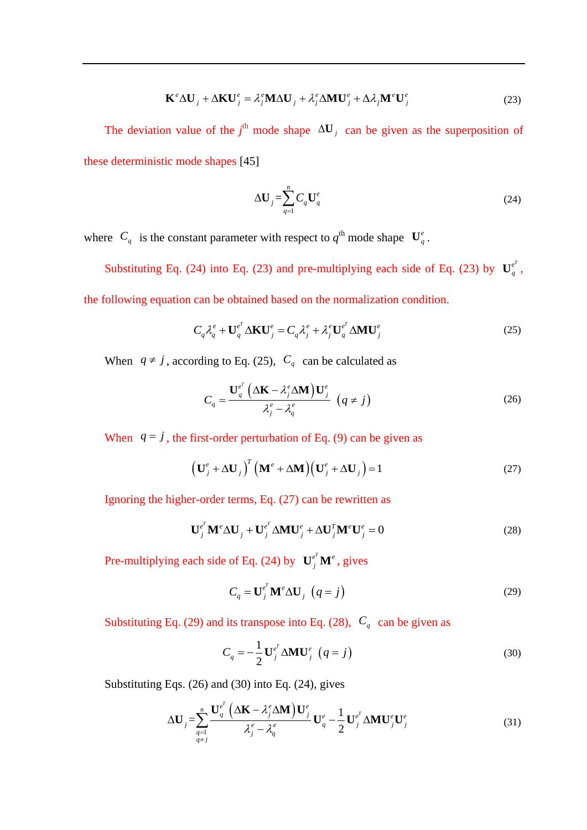$$
\mathbf{K}^e \Delta \mathbf{U}_j + \Delta \mathbf{K} \mathbf{U}_j^e = \lambda_j^e \mathbf{M} \Delta \mathbf{U}_j + \lambda_j^e \Delta \mathbf{M} \mathbf{U}_j^e + \Delta \lambda_j \mathbf{M}^e \mathbf{U}_j^e
$$
 (23)

The deviation value of the  $j^{\text{th}}$  mode shape  $\Delta U_j$  can be given as the superposition of these deterministic mode shapes [\[45\]](#page-39-8)

$$
\Delta \mathbf{U}_j = \sum_{q=1}^n C_q \mathbf{U}_q^e \tag{24}
$$

where  $C_q$  is the constant parameter with respect to  $q^{\text{th}}$  mode shape  $\mathbf{U}_q^e$ .

Substituting Eq. (24) into Eq. (23) and pre-multiplying each side of Eq. (23) by  $\mathbf{U}_q^{e^T}$ , the following equation can be obtained based on the normalization condition.

$$
C_q \lambda_q^e + \mathbf{U}_q^{e^T} \Delta \mathbf{K} \mathbf{U}_j^e = C_q \lambda_j^e + \lambda_j^e \mathbf{U}_q^{e^T} \Delta \mathbf{M} \mathbf{U}_j^e
$$
 (25)

When  $q \neq j$ , according to Eq. (25),  $C_q$  can be calculated as

$$
C_q = \frac{\mathbf{U}_q^{e^T} \left( \Delta \mathbf{K} - \lambda_j^e \Delta \mathbf{M} \right) \mathbf{U}_j^e}{\lambda_j^e - \lambda_q^e} \left( q \neq j \right)
$$
 (26)

When  $q = j$ , the first-order perturbation of Eq. (9) can be given as

$$
\left(\mathbf{U}_{j}^{e} + \Delta \mathbf{U}_{j}\right)^{T} \left(\mathbf{M}^{e} + \Delta \mathbf{M}\right) \left(\mathbf{U}_{j}^{e} + \Delta \mathbf{U}_{j}\right) = 1
$$
\n(27)

Ignoring the higher-order terms, Eq. (27) can be rewritten as

$$
\mathbf{U}_{j}^{e^{T}} \mathbf{M}^{e} \Delta \mathbf{U}_{j} + \mathbf{U}_{j}^{e^{T}} \Delta \mathbf{M} \mathbf{U}_{j}^{e} + \Delta \mathbf{U}_{j}^{T} \mathbf{M}^{e} \mathbf{U}_{j}^{e} = 0
$$
 (28)

Pre-multiplying each side of Eq. (24) by  $\mathbf{U}_j^{e^T} \mathbf{M}^e$ , gives

$$
C_q = \mathbf{U}_j^{e^T} \mathbf{M}^e \Delta \mathbf{U}_j \ \left( q = j \right) \tag{29}
$$

Substituting Eq. (29) and its transpose into Eq. (28),  $C_q$  can be given as

$$
C_q = -\frac{1}{2} \mathbf{U}_j^{e^T} \Delta \mathbf{M} \mathbf{U}_j^e \quad (q = j)
$$
 (30)

Substituting Eqs. (26) and (30) into Eq. (24), gives  
\n
$$
\Delta \mathbf{U}_{j} = \sum_{\substack{q=1 \ q \neq j}}^{n} \frac{\mathbf{U}_{q}^{e^{T}} \left( \Delta \mathbf{K} - \lambda_{j}^{e} \Delta \mathbf{M} \right) \mathbf{U}_{j}^{e}}{\lambda_{j}^{e} - \lambda_{q}^{e}} \mathbf{U}_{q}^{e} - \frac{1}{2} \mathbf{U}_{j}^{e^{T}} \Delta \mathbf{M} \mathbf{U}_{j}^{e} \mathbf{U}_{j}^{e}
$$
\n(31)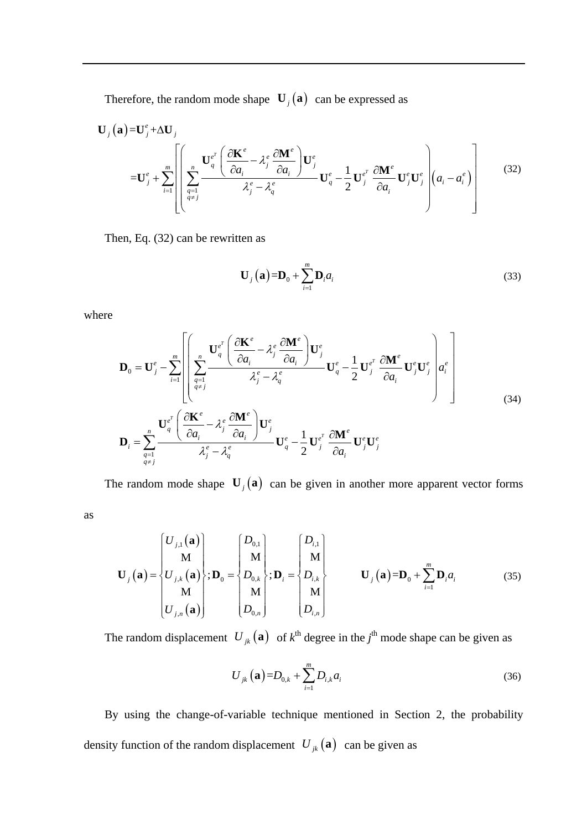Therefore, the random mode shape  $\mathbf{U}_j(\mathbf{a})$  can be expressed as

Therefore, the random mode shape 
$$
\mathbf{U}_{j}(\mathbf{a})
$$
 can be expressed as  
\n
$$
\mathbf{U}_{j}(\mathbf{a}) = \mathbf{U}_{j}^{e} + \Delta \mathbf{U}_{j}
$$
\n
$$
= \mathbf{U}_{j}^{e} + \sum_{i=1}^{m} \left[ \sum_{\substack{q=1 \\ q \neq j}}^{n} \frac{\mathbf{U}_{q}^{e^{T}} \left( \frac{\partial \mathbf{K}^{e}}{\partial a_{i}} - \lambda_{j}^{e} \frac{\partial \mathbf{M}^{e}}{\partial a_{i}} \right) \mathbf{U}_{j}^{e}}{\lambda_{j}^{e} - \lambda_{q}^{e}} \mathbf{U}_{q}^{e} - \frac{1}{2} \mathbf{U}_{j}^{e^{T}} \frac{\partial \mathbf{M}^{e}}{\partial a_{i}} \mathbf{U}_{j}^{e} \mathbf{U}_{j}^{e} \right] (a_{i} - a_{i}^{e}) \right]
$$
\n(32)

Then, Eq. (32) can be rewritten as

$$
\mathbf{U}_{j}\left(\mathbf{a}\right)=\mathbf{D}_{0}+\sum_{i=1}^{m}\mathbf{D}_{i}a_{i}\tag{33}
$$

where

as

$$
\mathbf{D}_{0} = \mathbf{U}_{j}^{e} - \sum_{i=1}^{m} \left[ \left( \sum_{\substack{q=1 \ q \neq j}}^{m} \frac{\mathbf{U}_{q}^{e^{T}} \left( \frac{\partial \mathbf{K}^{e}}{\partial a_{i}} - \lambda_{j}^{e} \frac{\partial \mathbf{M}^{e}}{\partial a_{i}} \right) \mathbf{U}_{j}^{e}}{\lambda_{j}^{e} - \lambda_{q}^{e}} \mathbf{U}_{q}^{e} - \frac{1}{2} \mathbf{U}_{j}^{e^{T}} \frac{\partial \mathbf{M}^{e}}{\partial a_{i}} \mathbf{U}_{j}^{e} \mathbf{U}_{j}^{e} \right) a_{i}^{e} \right]
$$
\n
$$
\mathbf{D}_{i} = \sum_{q=1}^{n} \frac{\mathbf{U}_{q}^{e^{T}} \left( \frac{\partial \mathbf{K}^{e}}{\partial a_{i}} - \lambda_{j}^{e} \frac{\partial \mathbf{M}^{e}}{\partial a_{i}} \right) \mathbf{U}_{j}^{e}}{\lambda_{j}^{e} - \lambda_{q}^{e}} \mathbf{U}_{q}^{e} - \frac{1}{2} \mathbf{U}_{j}^{e^{T}} \frac{\partial \mathbf{M}^{e}}{\partial a_{i}} \mathbf{U}_{j}^{e} \mathbf{U}_{j}^{e}
$$
\n
$$
(34)
$$

The random mode shape  $\mathbf{U}_j(\mathbf{a})$  can be given in another more apparent vector forms

$$
\mathbf{U}_{j}(\mathbf{a}) = \begin{cases} U_{j,1}(\mathbf{a}) \\ \mathbf{M} \\ U_{j,k}(\mathbf{a}) \\ \mathbf{M} \\ U_{j,n}(\mathbf{a}) \end{cases}; \mathbf{D}_{0} = \begin{cases} D_{0,1} \\ \mathbf{M} \\ D_{0,k} \\ \mathbf{M} \\ D_{0,n} \end{cases}; \mathbf{D}_{i} = \begin{cases} D_{i,1} \\ \mathbf{M} \\ D_{i,k} \\ \mathbf{M} \\ D_{i,n} \end{cases} \mathbf{U}_{j}(\mathbf{a}) = \mathbf{D}_{0} + \sum_{i=1}^{m} \mathbf{D}_{i} a_{i} \qquad (35)
$$

The random displacement  $U_{jk}(\mathbf{a})$  of  $k^{\text{th}}$  degree in the  $j^{\text{th}}$  mode shape can be given as

$$
U_{jk}(\mathbf{a}) = D_{0,k} + \sum_{i=1}^{m} D_{i,k} a_i
$$
 (36)

By using the change-of-variable technique mentioned in Section 2, the probability density function of the random displacement  $U_{jk}(\mathbf{a})$  can be given as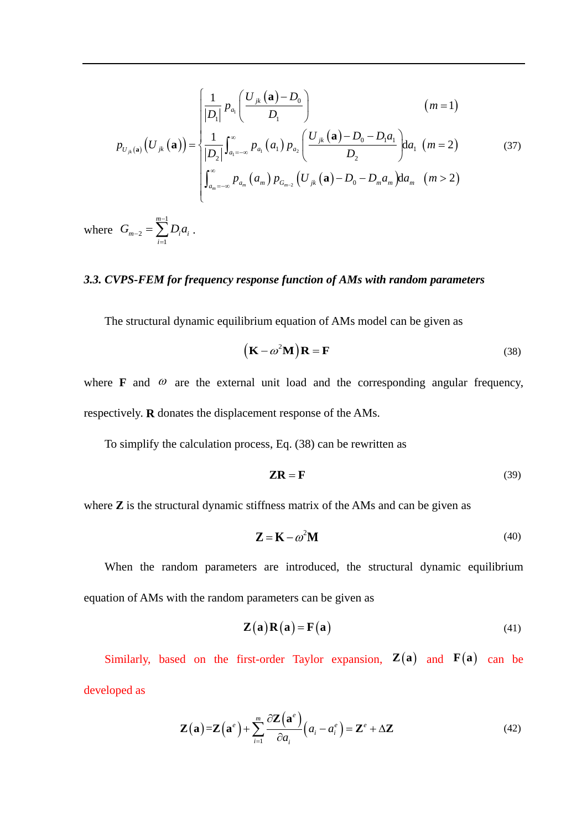$$
p_{U_{jk}(\mathbf{a})}\left(U_{jk}(\mathbf{a})\right) = \begin{cases} \frac{1}{|D_1|} p_{a_1} \left(\frac{U_{jk}(\mathbf{a}) - D_0}{D_1}\right) & (m = 1) \\ \frac{1}{|D_2|} \int_{a_1 = -\infty}^{\infty} p_{a_1}(a_1) p_{a_2} \left(\frac{U_{jk}(\mathbf{a}) - D_0 - D_1 a_1}{D_2}\right) da_1 \ (m = 2) \\ \int_{a_m = -\infty}^{\infty} p_{a_m}(a_m) p_{G_{m-2}}\left(U_{jk}(\mathbf{a}) - D_0 - D_m a_m\right) da_m \ (m > 2) \end{cases}
$$
(37)

where 1 2 1 *m*  $_{m-2}$  -  $\sum$   $\frac{\mu_i}{i}$ *i*  $G_{m-2} = \sum_{i=1}^{m-1} D_i a_i$  $\overline{a}$  $=\sum_{i=1}^{n} D_i a_i$ .

## *3.3. CVPS-FEM for frequency response function of AMs with random parameters*

The structural dynamic equilibrium equation of AMs model can be given as

$$
(\mathbf{K} - \omega^2 \mathbf{M})\mathbf{R} = \mathbf{F}
$$
 (38)

where **F** and  $\omega$  are the external unit load and the corresponding angular frequency, respectively. **R** donates the displacement response of the AMs.

To simplify the calculation process, Eq. (38) can be rewritten as

$$
ZR = F \tag{39}
$$

where **Z** is the structural dynamic stiffness matrix of the AMs and can be given as

$$
\mathbf{Z} = \mathbf{K} - \omega^2 \mathbf{M} \tag{40}
$$

When the random parameters are introduced, the structural dynamic equilibrium equation of AMs with the random parameters can be given as

$$
\mathbf{Z}(\mathbf{a})\mathbf{R}(\mathbf{a}) = \mathbf{F}(\mathbf{a})
$$
 (41)

Similarly, based on the first-order Taylor expansion,  $\mathbf{Z}(\mathbf{a})$  and  $\mathbf{F}(\mathbf{a})$  can be developed as

$$
\mathbf{Z}(\mathbf{a}) = \mathbf{Z}(\mathbf{a}^e) + \sum_{i=1}^m \frac{\partial \mathbf{Z}(\mathbf{a}^e)}{\partial a_i} (a_i - a_i^e) = \mathbf{Z}^e + \Delta \mathbf{Z}
$$
(42)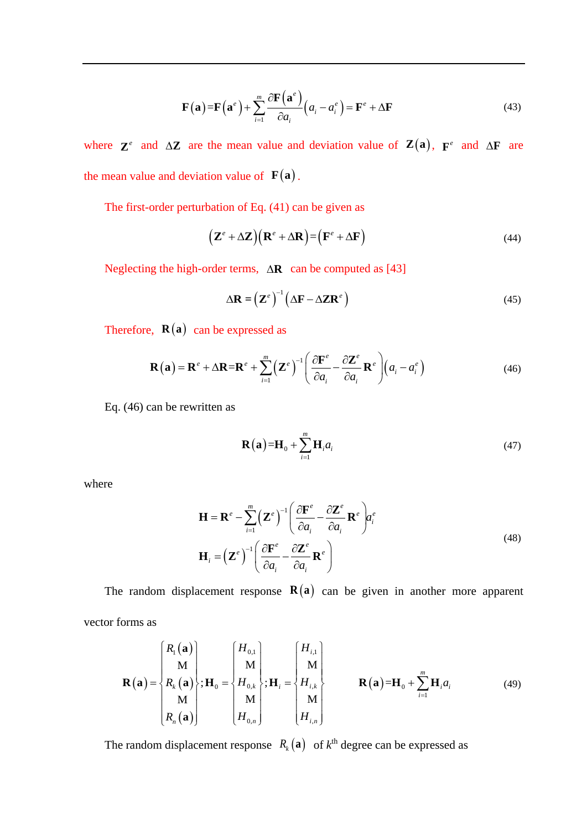$$
\mathbf{F}(\mathbf{a}) = \mathbf{F}(\mathbf{a}^e) + \sum_{i=1}^{m} \frac{\partial \mathbf{F}(\mathbf{a}^e)}{\partial a_i} (a_i - a_i^e) = \mathbf{F}^e + \Delta \mathbf{F}
$$
(43)

where  $\mathbf{Z}^e$  and  $\Delta \mathbf{Z}$  are the mean value and deviation value of  $\mathbf{Z}(\mathbf{a})$ ,  $\mathbf{F}^e$  and  $\Delta \mathbf{F}$  are the mean value and deviation value of  $F(a)$ .

The first-order perturbation of Eq. (41) can be given as

$$
(\mathbf{Z}^e + \Delta \mathbf{Z})(\mathbf{R}^e + \Delta \mathbf{R}) = (\mathbf{F}^e + \Delta \mathbf{F})
$$
\n(44)

Neglecting the high-order terms,  $\Delta \mathbf{R}$  can be computed as [\[43\]](#page-39-6)

$$
\Delta \mathbf{R} = (\mathbf{Z}^e)^{-1} (\Delta \mathbf{F} - \Delta \mathbf{Z} \mathbf{R}^e)
$$
 (45)

Therefore, 
$$
\mathbf{R}(\mathbf{a})
$$
 can be expressed as  
\n
$$
\mathbf{R}(\mathbf{a}) = \mathbf{R}^e + \Delta \mathbf{R} = \mathbf{R}^e + \sum_{i=1}^m (\mathbf{Z}^e)^{-1} \left( \frac{\partial \mathbf{F}^e}{\partial a_i} - \frac{\partial \mathbf{Z}^e}{\partial a_i} \mathbf{R}^e \right) \left( a_i - a_i^e \right)
$$
\n(46)

Eq. (46) can be rewritten as

$$
\mathbf{R}(\mathbf{a}) = \mathbf{H}_0 + \sum_{i=1}^{m} \mathbf{H}_i a_i
$$
 (47)

where

$$
\mathbf{H} = \mathbf{R}^{e} - \sum_{i=1}^{m} (\mathbf{Z}^{e})^{-1} \left( \frac{\partial \mathbf{F}^{e}}{\partial a_{i}} - \frac{\partial \mathbf{Z}^{e}}{\partial a_{i}} \mathbf{R}^{e} \right) a_{i}^{e}
$$
\n
$$
\mathbf{H}_{i} = (\mathbf{Z}^{e})^{-1} \left( \frac{\partial \mathbf{F}^{e}}{\partial a_{i}} - \frac{\partial \mathbf{Z}^{e}}{\partial a_{i}} \mathbf{R}^{e} \right)
$$
\n(48)

The random displacement response  $R(a)$  can be given in another more apparent vector forms as

orms as  
\n
$$
\mathbf{R}(\mathbf{a}) = \begin{cases}\nR_1(\mathbf{a}) \\
M \\
R_k(\mathbf{a}) \\
M \\
R_n(\mathbf{a})\n\end{cases}; \mathbf{H}_0 = \begin{cases}\nH_{0,1} \\
M \\
H_{0,k} \\
M \\
H_{0,n}\n\end{cases}; \mathbf{H}_i = \begin{cases}\nH_{i,1} \\
M \\
H_{i,k} \\
M \\
H_{i,n}\n\end{cases} \qquad \mathbf{R}(\mathbf{a}) = \mathbf{H}_0 + \sum_{i=1}^m \mathbf{H}_i a_i
$$
\n(49)

The random displacement response  $R_k(\mathbf{a})$  of  $k^{\text{th}}$  degree can be expressed as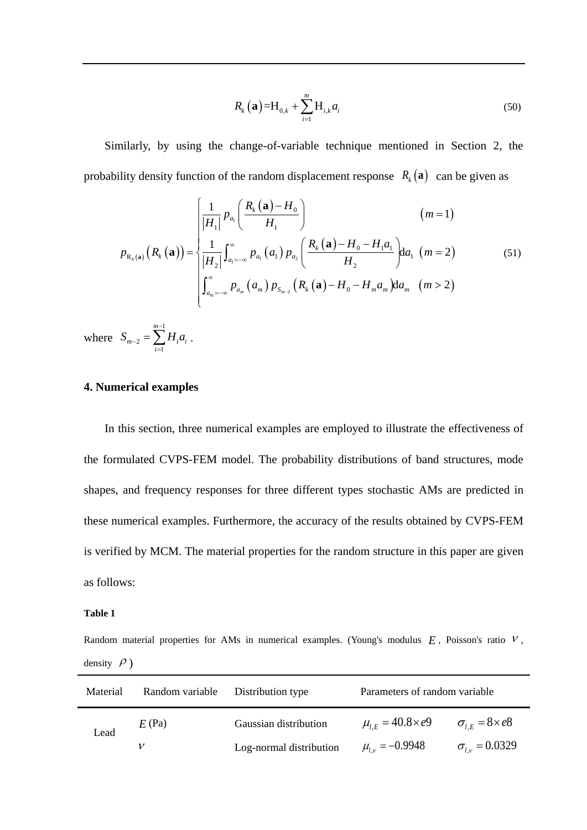$$
R_{k}(\mathbf{a}) = H_{0,k} + \sum_{i=1}^{m} H_{i,k} a_{i}
$$
 (50)

Similarly, by using the change-of-variable technique mentioned in Section 2, the

probability density function of the random displacement response 
$$
R_k(\mathbf{a})
$$
 can be given as  
\n
$$
p_{R_k(\mathbf{a})}(R_k(\mathbf{a})) = \begin{cases}\n\frac{1}{|H_1|} p_{a_1} \left( \frac{R_k(\mathbf{a}) - H_0}{H_1} \right) & (m = 1) \\
\frac{1}{|H_2|} \int_{a_1 = -\infty}^{\infty} p_{a_1}(a_1) p_{a_2} \left( \frac{R_k(\mathbf{a}) - H_0 - H_1 a_1}{H_2} \right) da_1 \ (m = 2) \\
\int_{a_m = -\infty}^{\infty} p_{a_m}(a_m) p_{s_{m-2}}(R_k(\mathbf{a}) - H_0 - H_m a_m) da_m \ (m > 2)\n\end{cases}
$$
\n(51)

where 1 2 1 *m*  $_{m-2}$  -  $\sum$   $\frac{1}{i}$   $\mu$ <sub>i</sub> *i*  $S_{m-2} = \sum H_i a_i$ - $\overline{a}$  $=\sum_{i=1} H_i a_i$ .

### **4. Numerical examples**

In this section, three numerical examples are employed to illustrate the effectiveness of the formulated CVPS-FEM model. The probability distributions of band structures, mode shapes, and frequency responses for three different types stochastic AMs are predicted in these numerical examples. Furthermore, the accuracy of the results obtained by CVPS-FEM is verified by MCM. The material properties for the random structure in this paper are given as follows:

#### **Table 1**

Random material properties for AMs in numerical examples. (Young's modulus  $E$ , Poisson's ratio  $V$ , density  $\rho$ )

| Material | Random variable | Distribution type       | Parameters of random variable |                             |
|----------|-----------------|-------------------------|-------------------------------|-----------------------------|
| Lead     | $E$ (Pa)        | Gaussian distribution   | $\mu_{LE} = 40.8 \times e9$   | $\sigma_{LE} = 8 \times e8$ |
|          |                 | Log-normal distribution | $\mu_{l,v} = -0.9948$         | $\sigma_{l\nu} = 0.0329$    |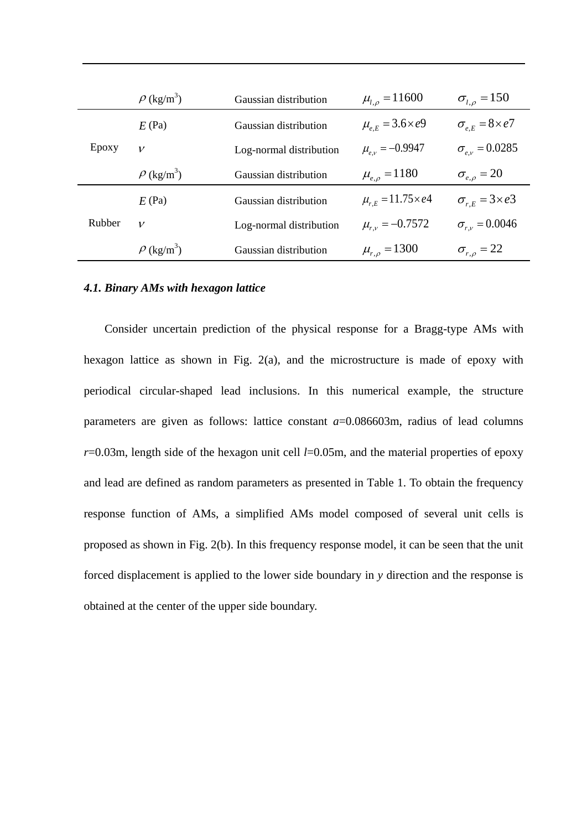|        | $\rho$ (kg/m <sup>3</sup> ) | Gaussian distribution   | $\mu_{l,\rho} = 11600$         | $\sigma_{l,o} = 150$         |
|--------|-----------------------------|-------------------------|--------------------------------|------------------------------|
| Epoxy  | $E$ (Pa)                    | Gaussian distribution   | $\mu_{e,E} = 3.6 \times e^{9}$ | $\sigma_{e,E} = 8 \times e7$ |
|        | $\mathcal V$                | Log-normal distribution | $\mu_{e,v} = -0.9947$          | $\sigma_{e,v} = 0.0285$      |
|        | $\rho$ (kg/m <sup>3</sup> ) | Gaussian distribution   | $\mu_{e,o} = 1180$             | $\sigma_{e,\rho} = 20$       |
| Rubber | $E$ (Pa)                    | Gaussian distribution   | $\mu_{rE} = 11.75 \times e4$   | $\sigma_{rE} = 3 \times e3$  |
|        | $\mathcal V$                | Log-normal distribution | $\mu_{r,v} = -0.7572$          | $\sigma_{r} = 0.0046$        |
|        | $\rho$ (kg/m <sup>3</sup> ) | Gaussian distribution   | $\mu_{r,\rho} = 1300$          | $\sigma_{r,\rho} = 22$       |

### *4.1. Binary AMs with hexagon lattice*

Consider uncertain prediction of the physical response for a Bragg-type AMs with hexagon lattice as shown in Fig. 2(a), and the microstructure is made of epoxy with periodical circular-shaped lead inclusions. In this numerical example, the structure parameters are given as follows: lattice constant  $a=0.086603m$ , radius of lead columns *r*=0.03m, length side of the hexagon unit cell *l*=0.05m, and the material properties of epoxy and lead are defined as random parameters as presented in Table 1. To obtain the frequency response function of AMs, a simplified AMs model composed of several unit cells is proposed as shown in Fig. 2(b). In this frequency response model, it can be seen that the unit forced displacement is applied to the lower side boundary in *y* direction and the response is obtained at the center of the upper side boundary.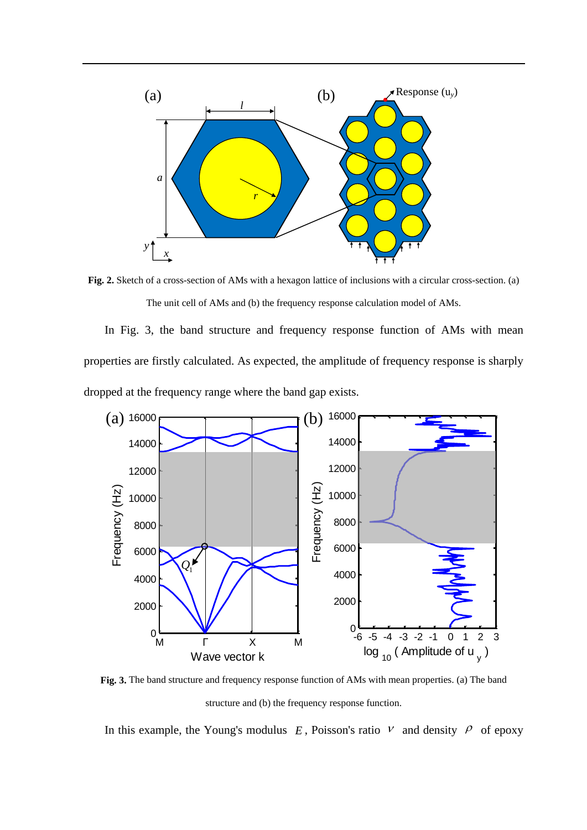

**Fig. 2.** Sketch of a cross-section of AMs with a hexagon lattice of inclusions with a circular cross-section. (a) The unit cell of AMs and (b) the frequency response calculation model of AMs.

In Fig. 3, the band structure and frequency response function of AMs with mean properties are firstly calculated. As expected, the amplitude of frequency response is sharply dropped at the frequency range where the band gap exists.



**Fig. 3.** The band structure and frequency response function of AMs with mean properties. (a) The band structure and (b) the frequency response function.

In this example, the Young's modulus  $E$ , Poisson's ratio  $V$  and density  $\rho$  of epoxy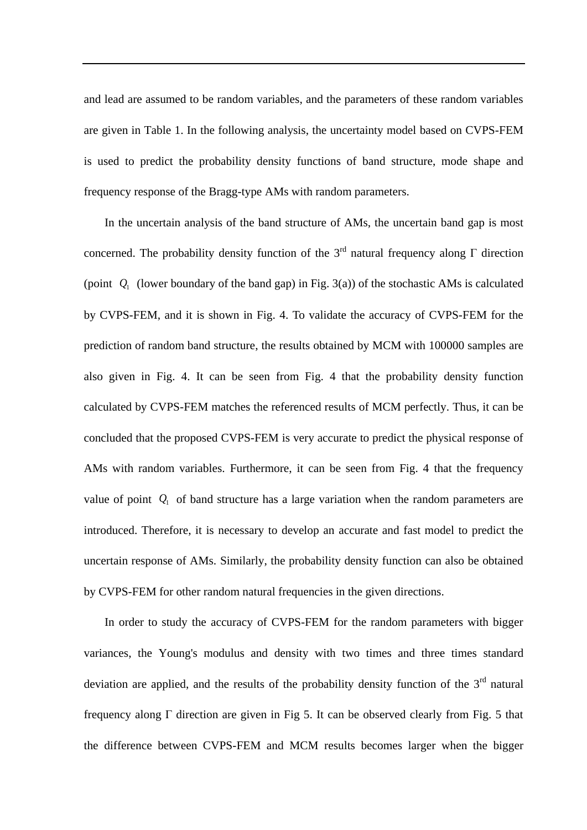and lead are assumed to be random variables, and the parameters of these random variables are given in Table 1. In the following analysis, the uncertainty model based on CVPS-FEM is used to predict the probability density functions of band structure, mode shape and frequency response of the Bragg-type AMs with random parameters.

In the uncertain analysis of the band structure of AMs, the uncertain band gap is most concerned. The probability density function of the 3<sup>rd</sup> natural frequency along  $\Gamma$  direction (point  $Q_1$  (lower boundary of the band gap) in Fig. 3(a)) of the stochastic AMs is calculated by CVPS-FEM, and it is shown in Fig. 4. To validate the accuracy of CVPS-FEM for the prediction of random band structure, the results obtained by MCM with 100000 samples are also given in Fig. 4. It can be seen from Fig. 4 that the probability density function calculated by CVPS-FEM matches the referenced results of MCM perfectly. Thus, it can be concluded that the proposed CVPS-FEM is very accurate to predict the physical response of AMs with random variables. Furthermore, it can be seen from Fig. 4 that the frequency value of point  $Q_1$  of band structure has a large variation when the random parameters are introduced. Therefore, it is necessary to develop an accurate and fast model to predict the uncertain response of AMs. Similarly, the probability density function can also be obtained by CVPS-FEM for other random natural frequencies in the given directions.

In order to study the accuracy of CVPS-FEM for the random parameters with bigger variances, the Young's modulus and density with two times and three times standard deviation are applied, and the results of the probability density function of the  $3<sup>rd</sup>$  natural frequency along Γ direction are given in Fig 5. It can be observed clearly from Fig. 5 that the difference between CVPS-FEM and MCM results becomes larger when the bigger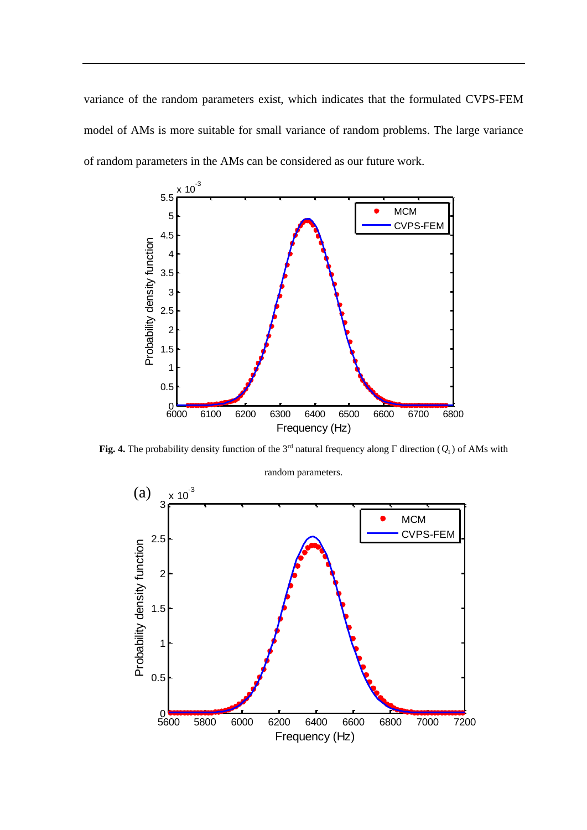variance of the random parameters exist, which indicates that the formulated CVPS-FEM model of AMs is more suitable for small variance of random problems. The large variance of random parameters in the AMs can be considered as our future work.



**Fig. 4.** The probability density function of the 3<sup>rd</sup> natural frequency along  $\Gamma$  direction ( $Q_1$ ) of AMs with

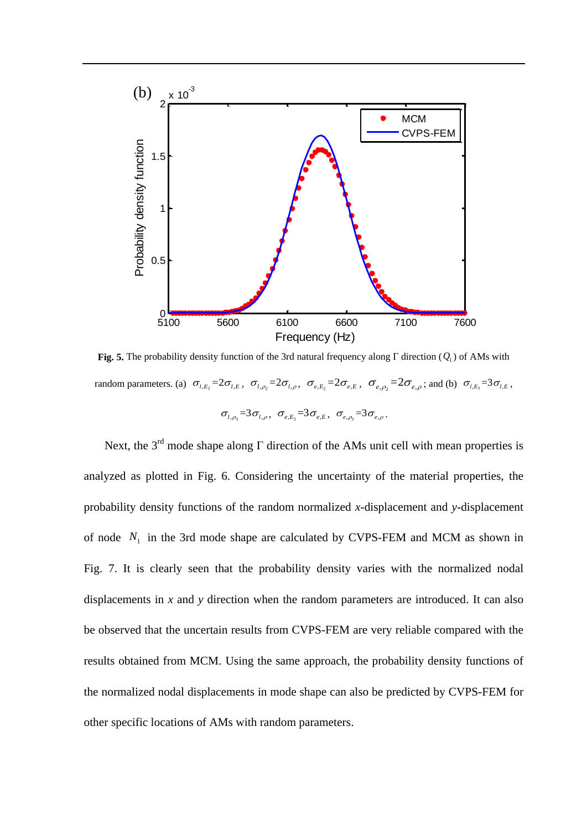

**Fig. 5.** The probability density function of the 3rd natural frequency along Γ direction ( *Q*1 ) of AMs with random parameters. (a)  $\sigma_{l,E_2} = 2\sigma_{l,E}$ ,  $\sigma_{l,\rho_2} = 2\sigma_{l,\rho}$ ,  $\sigma_{e,E_2} = 2\sigma_{e,E}$ ,  $\sigma_{e,\rho_2} = 2\sigma_{e,\rho}$ ; and (b)  $\sigma_{l,E_3} = 3\sigma_{l,E}$ ,  $\sigma_{l,\rho_{3}} = 3\sigma_{l,\rho}, \ \ \sigma_{e,E_{3}} = 3\sigma_{e,E}, \ \ \sigma_{e,\rho_{3}} = 3\sigma_{e,\rho}.$ 

Next, the 3<sup>rd</sup> mode shape along  $\Gamma$  direction of the AMs unit cell with mean properties is analyzed as plotted in Fig. 6. Considering the uncertainty of the material properties, the probability density functions of the random normalized *x*-displacement and *y*-displacement of node  $N_1$  in the 3rd mode shape are calculated by CVPS-FEM and MCM as shown in Fig. 7. It is clearly seen that the probability density varies with the normalized nodal displacements in *x* and *y* direction when the random parameters are introduced. It can also be observed that the uncertain results from CVPS-FEM are very reliable compared with the results obtained from MCM. Using the same approach, the probability density functions of the normalized nodal displacements in mode shape can also be predicted by CVPS-FEM for other specific locations of AMs with random parameters.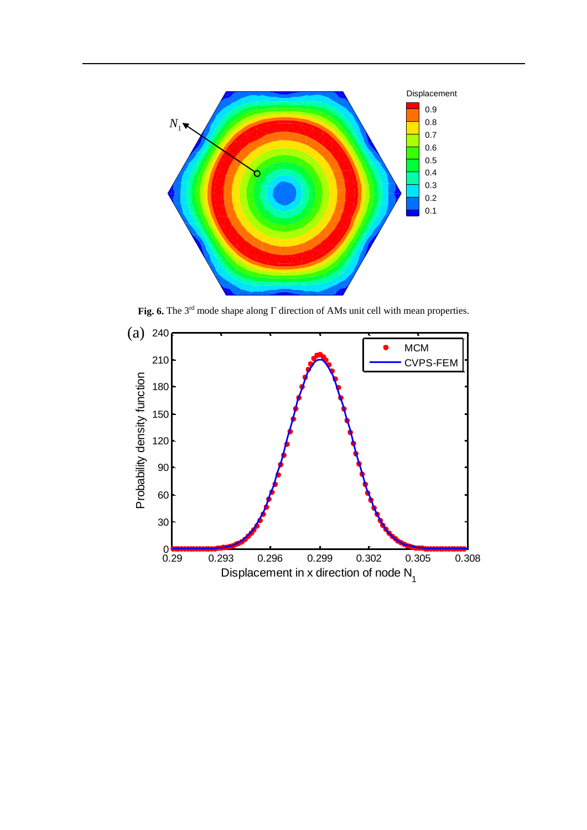

**Fig. 6.** The 3rd mode shape along Γ direction of AMs unit cell with mean properties.

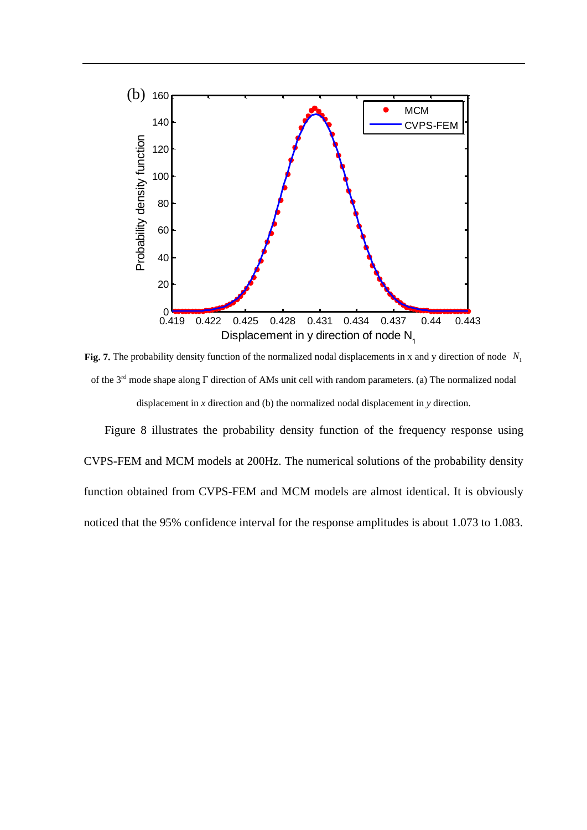

Fig. 7. The probability density function of the normalized nodal displacements in x and y direction of node N<sub>1</sub> of the 3rd mode shape along Γ direction of AMs unit cell with random parameters. (a) The normalized nodal displacement in *x* direction and (b) the normalized nodal displacement in *y* direction.

Figure 8 illustrates the probability density function of the frequency response using CVPS-FEM and MCM models at 200Hz. The numerical solutions of the probability density function obtained from CVPS-FEM and MCM models are almost identical. It is obviously noticed that the 95% confidence interval for the response amplitudes is about 1.073 to 1.083.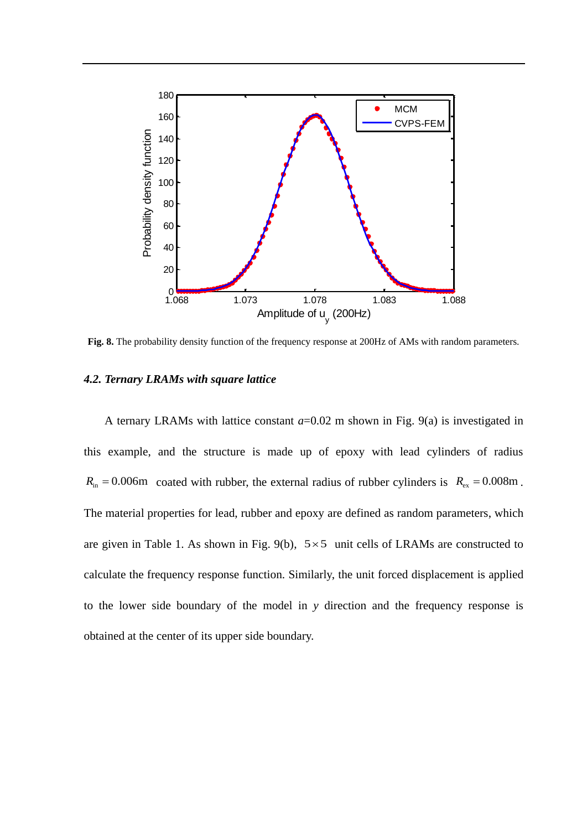

**Fig. 8.** The probability density function of the frequency response at 200Hz of AMs with random parameters.

#### *4.2. Ternary LRAMs with square lattice*

A ternary LRAMs with lattice constant *a*=0.02 m shown in Fig. 9(a) is investigated in this example, and the structure is made up of epoxy with lead cylinders of radius  $R_{\text{in}} = 0.006 \text{m}$  coated with rubber, the external radius of rubber cylinders is  $R_{\text{ex}} = 0.008 \text{m}$ . The material properties for lead, rubber and epoxy are defined as random parameters, which are given in Table 1. As shown in Fig. 9(b),  $5 \times 5$  unit cells of LRAMs are constructed to calculate the frequency response function. Similarly, the unit forced displacement is applied to the lower side boundary of the model in *y* direction and the frequency response is obtained at the center of its upper side boundary.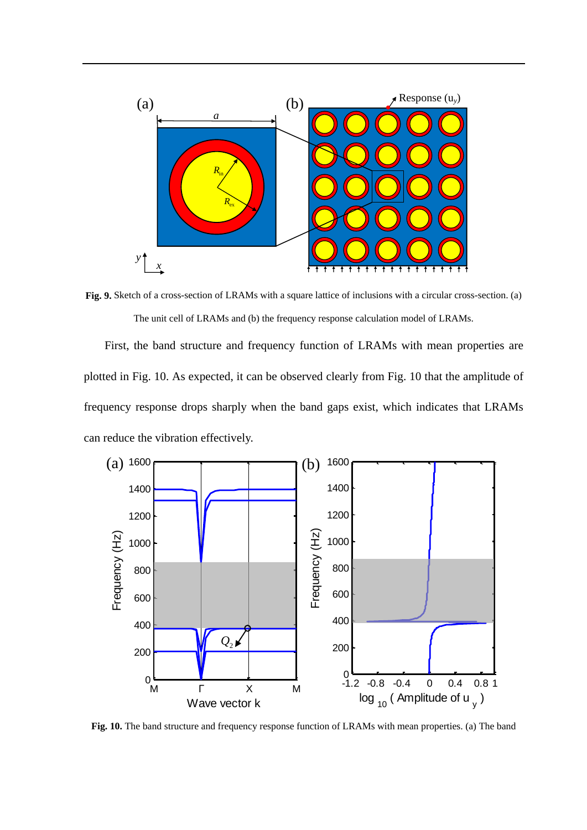![](_page_24_Figure_0.jpeg)

**Fig. 9.** Sketch of a cross-section of LRAMs with a square lattice of inclusions with a circular cross-section. (a) The unit cell of LRAMs and (b) the frequency response calculation model of LRAMs.

First, the band structure and frequency function of LRAMs with mean properties are plotted in Fig. 10. As expected, it can be observed clearly from Fig. 10 that the amplitude of frequency response drops sharply when the band gaps exist, which indicates that LRAMs can reduce the vibration effectively.

![](_page_24_Figure_3.jpeg)

Fig. 10. The band structure and frequency response function of LRAMs with mean properties. (a) The band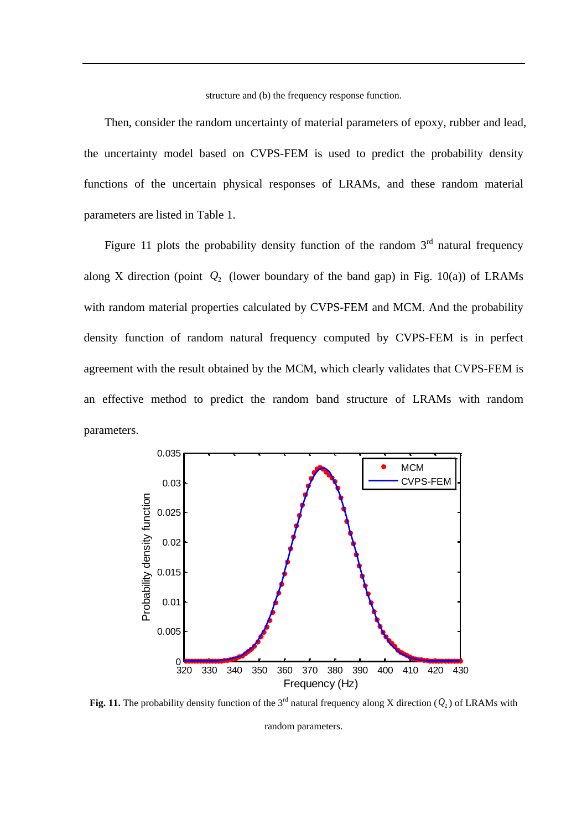structure and (b) the frequency response function.

Then, consider the random uncertainty of material parameters of epoxy, rubber and lead, the uncertainty model based on CVPS-FEM is used to predict the probability density functions of the uncertain physical responses of LRAMs, and these random material parameters are listed in Table 1.

Figure 11 plots the probability density function of the random  $3<sup>rd</sup>$  natural frequency along X direction (point  $Q_2$  (lower boundary of the band gap) in Fig. 10(a)) of LRAMs with random material properties calculated by CVPS-FEM and MCM. And the probability density function of random natural frequency computed by CVPS-FEM is in perfect agreement with the result obtained by the MCM, which clearly validates that CVPS-FEM is an effective method to predict the random band structure of LRAMs with random parameters.

![](_page_25_Figure_3.jpeg)

**Fig. 11.** The probability density function of the 3<sup>rd</sup> natural frequency along X direction  $(Q_2)$  of LRAMs with

random parameters.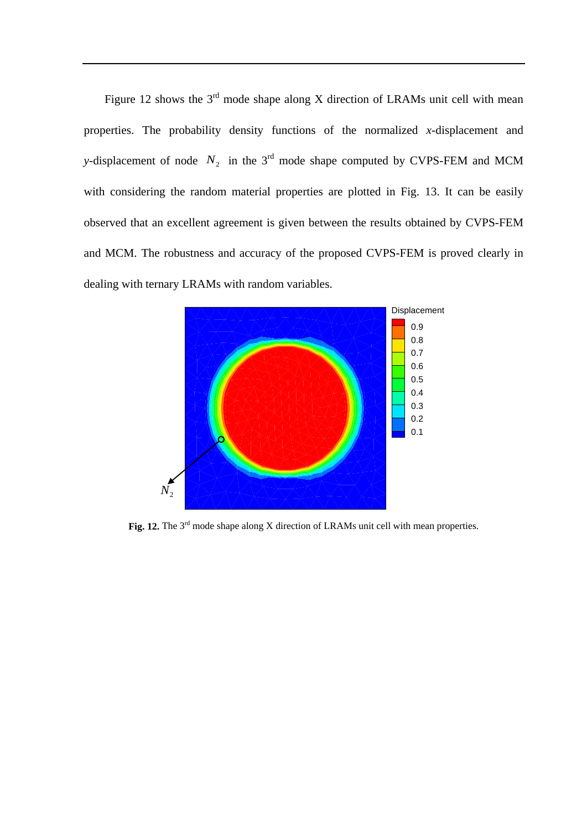Figure 12 shows the  $3<sup>rd</sup>$  mode shape along X direction of LRAMs unit cell with mean properties. The probability density functions of the normalized *x*-displacement and *y*-displacement of node  $N_2$  in the 3<sup>rd</sup> mode shape computed by CVPS-FEM and MCM with considering the random material properties are plotted in Fig. 13. It can be easily observed that an excellent agreement is given between the results obtained by CVPS-FEM and MCM. The robustness and accuracy of the proposed CVPS-FEM is proved clearly in dealing with ternary LRAMs with random variables.

![](_page_26_Figure_1.jpeg)

Fig. 12. The 3<sup>rd</sup> mode shape along X direction of LRAMs unit cell with mean properties.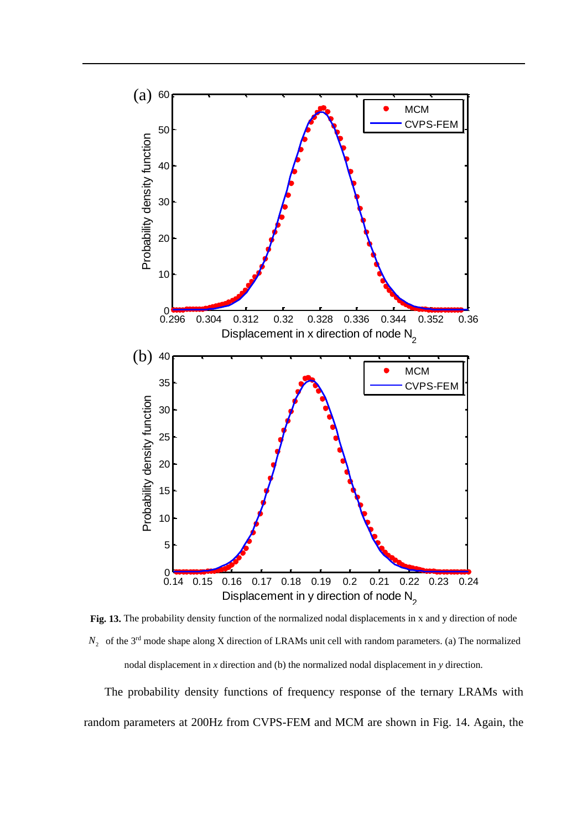![](_page_27_Figure_0.jpeg)

Fig. 13. The probability density function of the normalized nodal displacements in x and y direction of node  $N_2$  of the 3<sup>rd</sup> mode shape along X direction of LRAMs unit cell with random parameters. (a) The normalized nodal displacement in *x* direction and (b) the normalized nodal displacement in *y* direction.

The probability density functions of frequency response of the ternary LRAMs with random parameters at 200Hz from CVPS-FEM and MCM are shown in Fig. 14. Again, the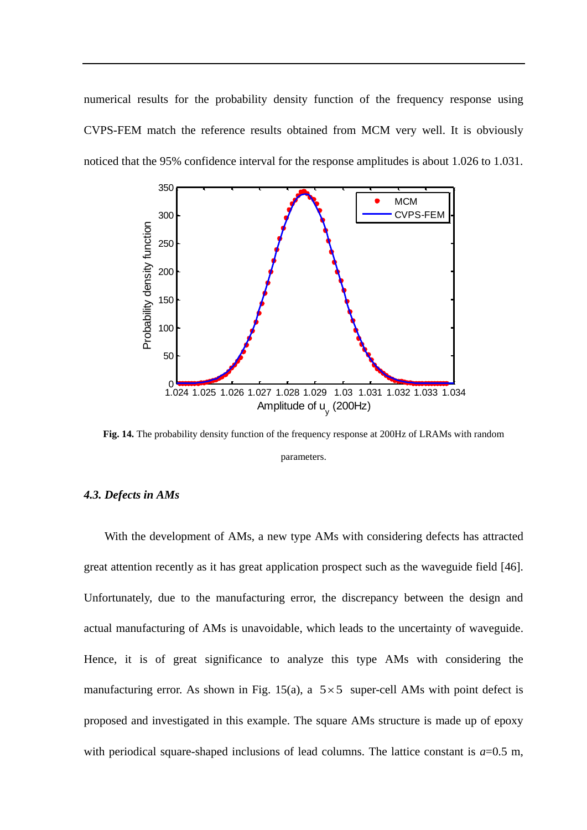numerical results for the probability density function of the frequency response using CVPS-FEM match the reference results obtained from MCM very well. It is obviously noticed that the 95% confidence interval for the response amplitudes is about 1.026 to 1.031.

![](_page_28_Figure_1.jpeg)

**Fig. 14.** The probability density function of the frequency response at 200Hz of LRAMs with random parameters.

### *4.3. Defects in AMs*

With the development of AMs, a new type AMs with considering defects has attracted great attention recently as it has great application prospect such as the waveguide field [\[46\]](#page-39-9). Unfortunately, due to the manufacturing error, the discrepancy between the design and actual manufacturing of AMs is unavoidable, which leads to the uncertainty of waveguide. Hence, it is of great significance to analyze this type AMs with considering the manufacturing error. As shown in Fig. 15(a), a  $5 \times 5$  super-cell AMs with point defect is proposed and investigated in this example. The square AMs structure is made up of epoxy with periodical square-shaped inclusions of lead columns. The lattice constant is  $a=0.5$  m,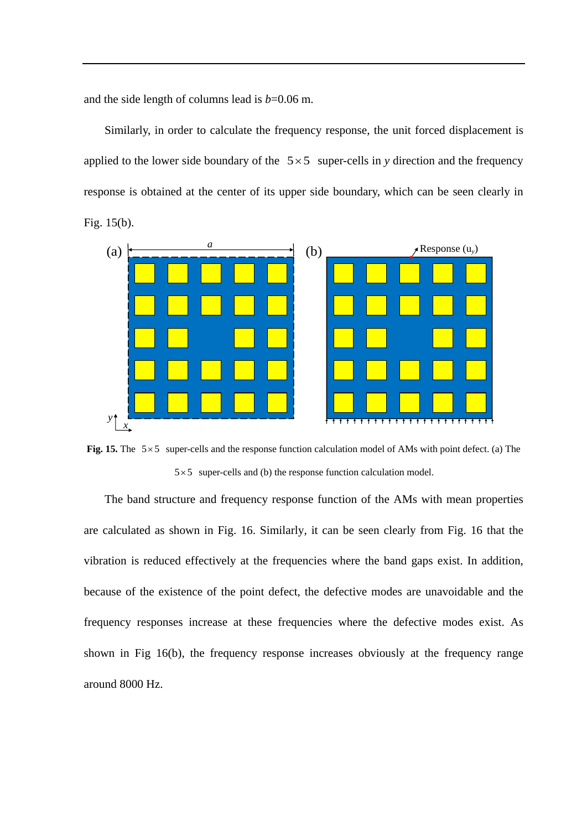and the side length of columns lead is  $b=0.06$  m.

Similarly, in order to calculate the frequency response, the unit forced displacement is applied to the lower side boundary of the  $5 \times 5$  super-cells in *y* direction and the frequency response is obtained at the center of its upper side boundary, which can be seen clearly in Fig. 15(b).

![](_page_29_Figure_2.jpeg)

Fig. 15. The  $5 \times 5$  super-cells and the response function calculation model of AMs with point defect. (a) The  $5 \times 5$  super-cells and (b) the response function calculation model.

The band structure and frequency response function of the AMs with mean properties are calculated as shown in Fig. 16. Similarly, it can be seen clearly from Fig. 16 that the vibration is reduced effectively at the frequencies where the band gaps exist. In addition, because of the existence of the point defect, the defective modes are unavoidable and the frequency responses increase at these frequencies where the defective modes exist. As shown in Fig 16(b), the frequency response increases obviously at the frequency range around 8000 Hz.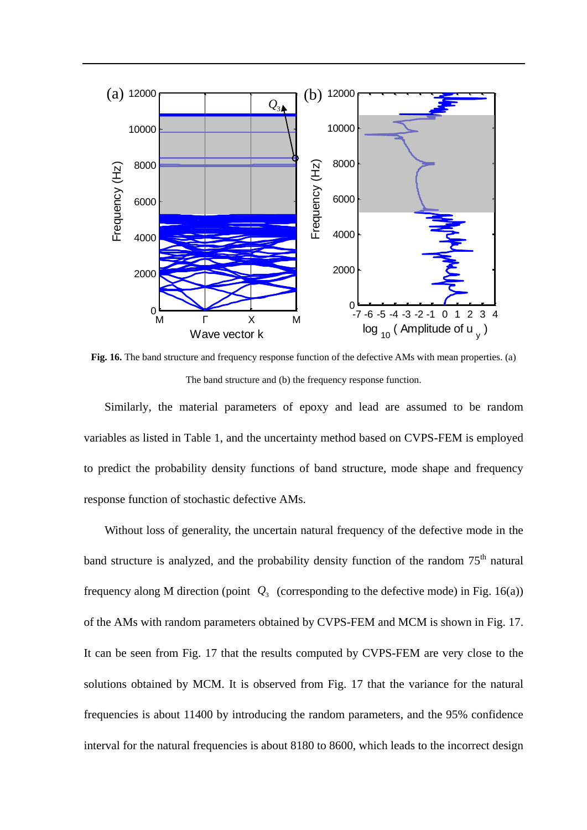![](_page_30_Figure_0.jpeg)

**Fig. 16.** The band structure and frequency response function of the defective AMs with mean properties. (a) The band structure and (b) the frequency response function.

Similarly, the material parameters of epoxy and lead are assumed to be random variables as listed in Table 1, and the uncertainty method based on CVPS-FEM is employed to predict the probability density functions of band structure, mode shape and frequency response function of stochastic defective AMs.

Without loss of generality, the uncertain natural frequency of the defective mode in the band structure is analyzed, and the probability density function of the random 75<sup>th</sup> natural frequency along M direction (point  $Q_3$  (corresponding to the defective mode) in Fig. 16(a)) of the AMs with random parameters obtained by CVPS-FEM and MCM is shown in Fig. 17. It can be seen from Fig. 17 that the results computed by CVPS-FEM are very close to the solutions obtained by MCM. It is observed from Fig. 17 that the variance for the natural frequencies is about 11400 by introducing the random parameters, and the 95% confidence interval for the natural frequencies is about 8180 to 8600, which leads to the incorrect design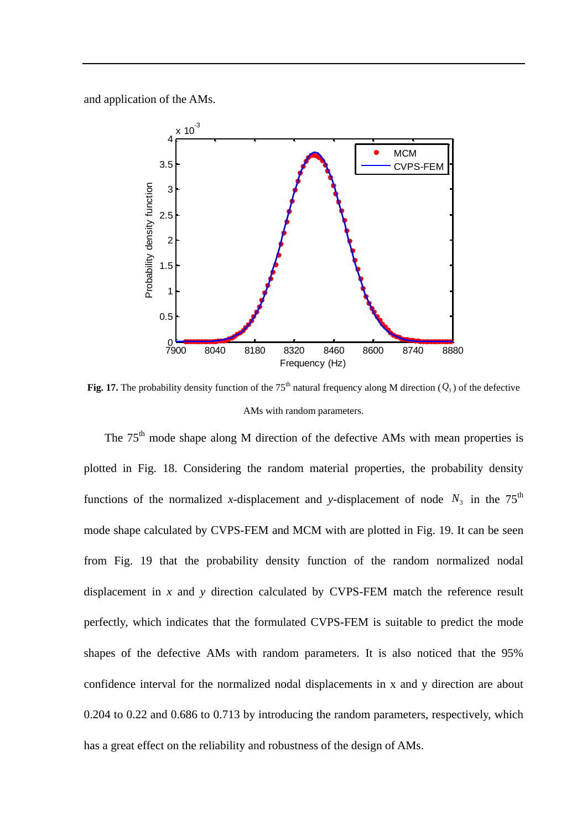and application of the AMs.

![](_page_31_Figure_1.jpeg)

**Fig. 17.** The probability density function of the 75<sup>th</sup> natural frequency along M direction  $(Q_3)$  of the defective AMs with random parameters.

The 75<sup>th</sup> mode shape along M direction of the defective AMs with mean properties is plotted in Fig. 18. Considering the random material properties, the probability density functions of the normalized x-displacement and y-displacement of node  $N_3$  in the 75<sup>th</sup> mode shape calculated by CVPS-FEM and MCM with are plotted in Fig. 19. It can be seen from Fig. 19 that the probability density function of the random normalized nodal displacement in *x* and *y* direction calculated by CVPS-FEM match the reference result perfectly, which indicates that the formulated CVPS-FEM is suitable to predict the mode shapes of the defective AMs with random parameters. It is also noticed that the 95% confidence interval for the normalized nodal displacements in x and y direction are about 0.204 to 0.22 and 0.686 to 0.713 by introducing the random parameters, respectively, which has a great effect on the reliability and robustness of the design of AMs.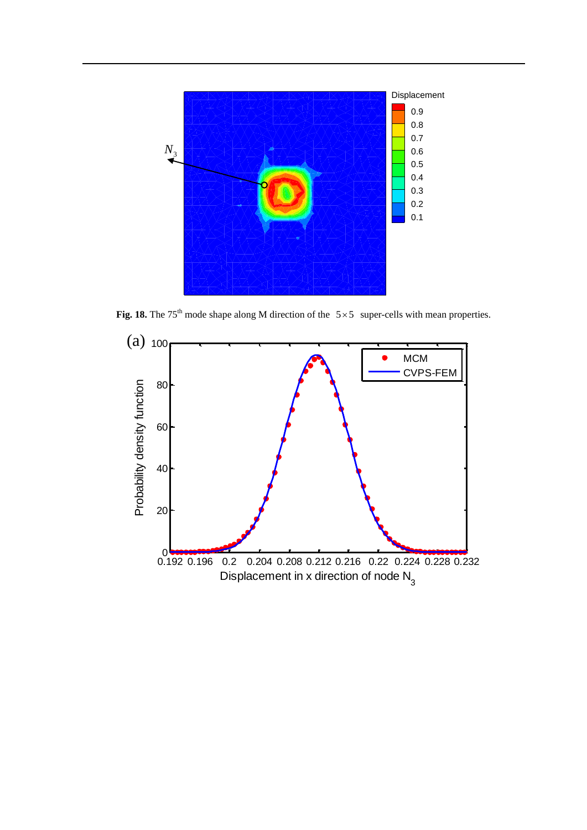![](_page_32_Figure_0.jpeg)

Fig. 18. The 75<sup>th</sup> mode shape along M direction of the  $5 \times 5$  super-cells with mean properties.

![](_page_32_Figure_2.jpeg)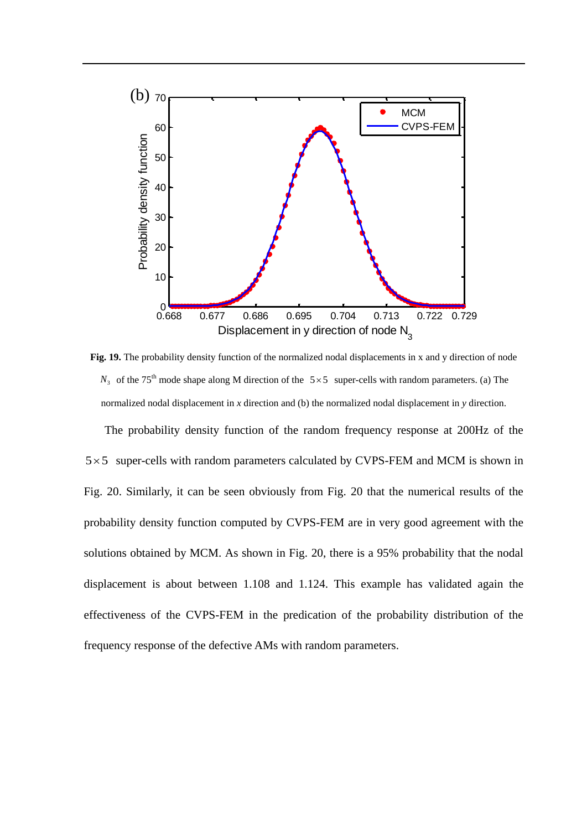![](_page_33_Figure_0.jpeg)

**Fig. 19.** The probability density function of the normalized nodal displacements in x and y direction of node  $N_3$  of the 75<sup>th</sup> mode shape along M direction of the 5×5 super-cells with random parameters. (a) The normalized nodal displacement in *x* direction and (b) the normalized nodal displacement in *y* direction.

The probability density function of the random frequency response at 200Hz of the  $5 \times 5$  super-cells with random parameters calculated by CVPS-FEM and MCM is shown in Fig. 20. Similarly, it can be seen obviously from Fig. 20 that the numerical results of the probability density function computed by CVPS-FEM are in very good agreement with the solutions obtained by MCM. As shown in Fig. 20, there is a 95% probability that the nodal displacement is about between 1.108 and 1.124. This example has validated again the effectiveness of the CVPS-FEM in the predication of the probability distribution of the frequency response of the defective AMs with random parameters.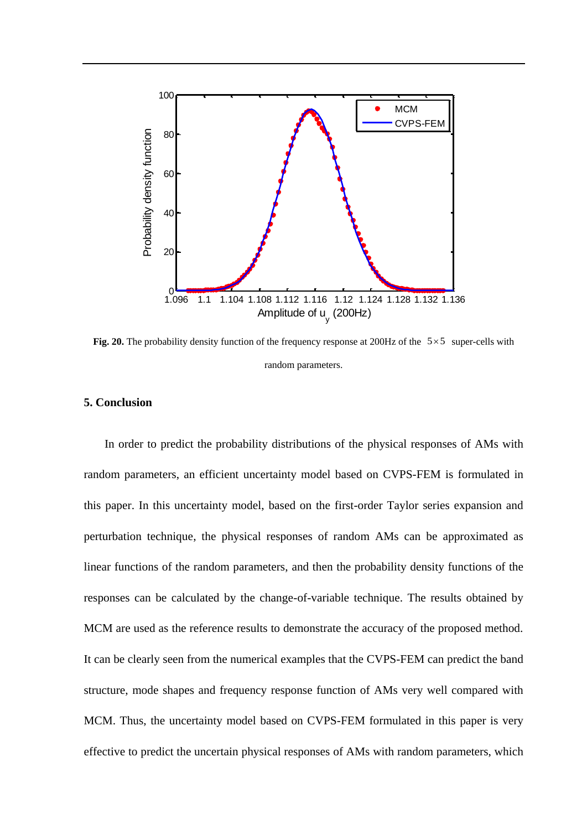![](_page_34_Figure_0.jpeg)

**Fig. 20.** The probability density function of the frequency response at 200Hz of the  $5 \times 5$  super-cells with random parameters.

### **5. Conclusion**

In order to predict the probability distributions of the physical responses of AMs with random parameters, an efficient uncertainty model based on CVPS-FEM is formulated in this paper. In this uncertainty model, based on the first-order Taylor series expansion and perturbation technique, the physical responses of random AMs can be approximated as linear functions of the random parameters, and then the probability density functions of the responses can be calculated by the change-of-variable technique. The results obtained by MCM are used as the reference results to demonstrate the accuracy of the proposed method. It can be clearly seen from the numerical examples that the CVPS-FEM can predict the band structure, mode shapes and frequency response function of AMs very well compared with MCM. Thus, the uncertainty model based on CVPS-FEM formulated in this paper is very effective to predict the uncertain physical responses of AMs with random parameters, which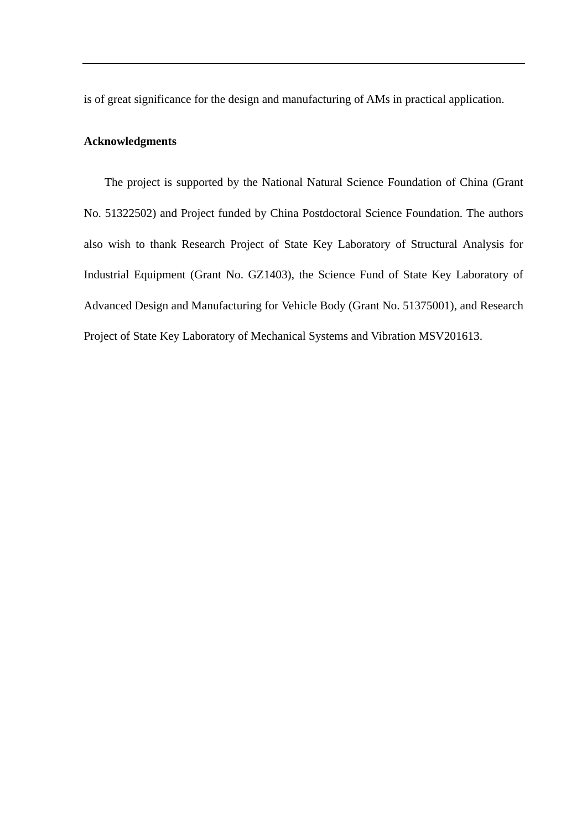is of great significance for the design and manufacturing of AMs in practical application.

### **Acknowledgments**

The project is supported by the National Natural Science Foundation of China (Grant No. 51322502) and Project funded by China Postdoctoral Science Foundation. The authors also wish to thank Research Project of State Key Laboratory of Structural Analysis for Industrial Equipment (Grant No. GZ1403), the Science Fund of State Key Laboratory of Advanced Design and Manufacturing for Vehicle Body (Grant No. 51375001), and Research Project of State Key Laboratory of Mechanical Systems and Vibration MSV201613.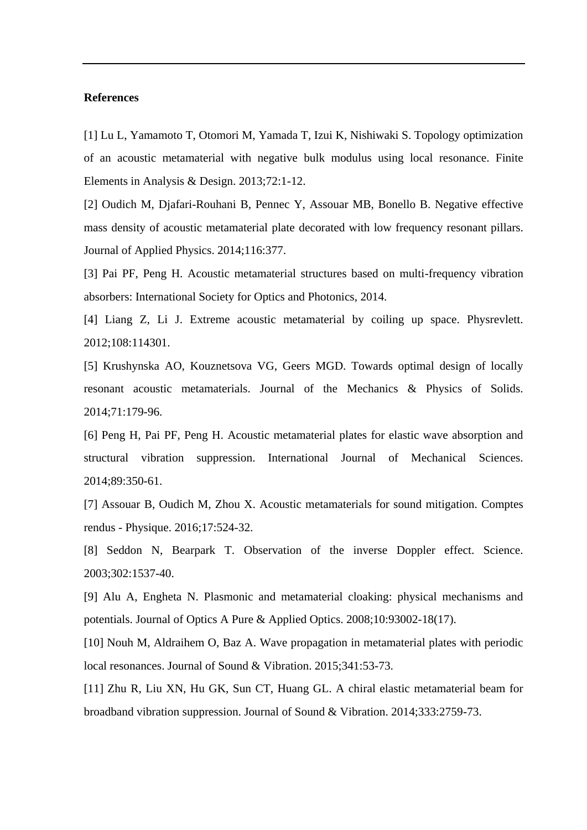#### **References**

<span id="page-36-0"></span>[1] Lu L, Yamamoto T, Otomori M, Yamada T, Izui K, Nishiwaki S. Topology optimization of an acoustic metamaterial with negative bulk modulus using local resonance. Finite Elements in Analysis & Design. 2013;72:1-12.

[2] Oudich M, Djafari-Rouhani B, Pennec Y, Assouar MB, Bonello B. Negative effective mass density of acoustic metamaterial plate decorated with low frequency resonant pillars. Journal of Applied Physics. 2014;116:377.

[3] Pai PF, Peng H. Acoustic metamaterial structures based on multi-frequency vibration absorbers: International Society for Optics and Photonics, 2014.

[4] Liang Z, Li J. Extreme acoustic metamaterial by coiling up space. Physrevlett. 2012;108:114301.

[5] Krushynska AO, Kouznetsova VG, Geers MGD. Towards optimal design of locally resonant acoustic metamaterials. Journal of the Mechanics & Physics of Solids. 2014;71:179-96.

<span id="page-36-1"></span>[6] Peng H, Pai PF, Peng H. Acoustic metamaterial plates for elastic wave absorption and structural vibration suppression. International Journal of Mechanical Sciences. 2014;89:350-61.

<span id="page-36-2"></span>[7] Assouar B, Oudich M, Zhou X. Acoustic metamaterials for sound mitigation. Comptes rendus - Physique. 2016;17:524-32.

[8] Seddon N, Bearpark T. Observation of the inverse Doppler effect. Science. 2003;302:1537-40.

[9] Alu A, Engheta N. Plasmonic and metamaterial cloaking: physical mechanisms and potentials. Journal of Optics A Pure & Applied Optics. 2008;10:93002-18(17).

<span id="page-36-3"></span>[10] Nouh M, Aldraihem O, Baz A. Wave propagation in metamaterial plates with periodic local resonances. Journal of Sound & Vibration. 2015;341:53-73.

<span id="page-36-4"></span>[11] Zhu R, Liu XN, Hu GK, Sun CT, Huang GL. A chiral elastic metamaterial beam for broadband vibration suppression. Journal of Sound & Vibration. 2014;333:2759-73.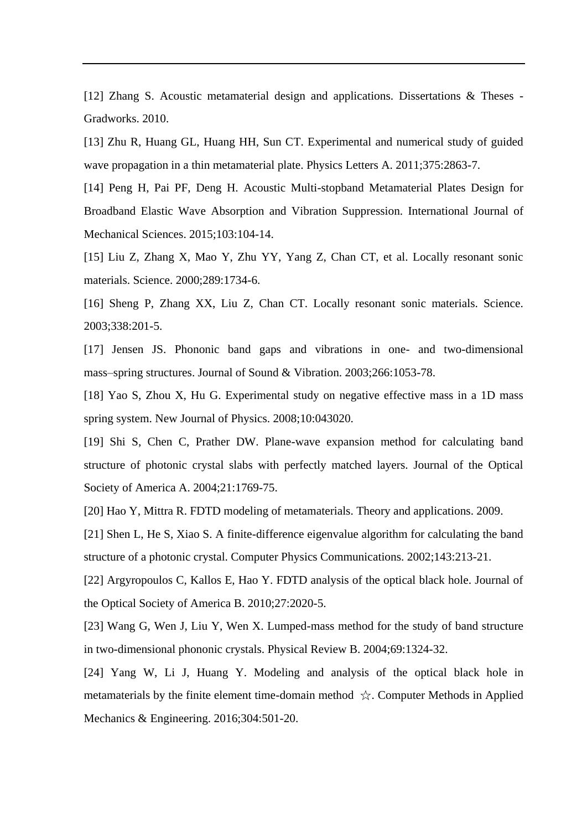<span id="page-37-0"></span>[12] Zhang S. Acoustic metamaterial design and applications. Dissertations & Theses -Gradworks. 2010.

<span id="page-37-1"></span>[13] Zhu R, Huang GL, Huang HH, Sun CT. Experimental and numerical study of guided wave propagation in a thin metamaterial plate. Physics Letters A. 2011;375:2863-7.

<span id="page-37-2"></span>[14] Peng H, Pai PF, Deng H. Acoustic Multi-stopband Metamaterial Plates Design for Broadband Elastic Wave Absorption and Vibration Suppression. International Journal of Mechanical Sciences. 2015;103:104-14.

<span id="page-37-3"></span>[15] Liu Z, Zhang X, Mao Y, Zhu YY, Yang Z, Chan CT, et al. Locally resonant sonic materials. Science. 2000;289:1734-6.

<span id="page-37-4"></span>[16] Sheng P, Zhang XX, Liu Z, Chan CT. Locally resonant sonic materials. Science. 2003;338:201-5.

<span id="page-37-5"></span>[17] Jensen JS. Phononic band gaps and vibrations in one- and two-dimensional mass–spring structures. Journal of Sound & Vibration. 2003;266:1053-78.

<span id="page-37-6"></span>[18] Yao S, Zhou X, Hu G. Experimental study on negative effective mass in a 1D mass spring system. New Journal of Physics. 2008;10:043020.

<span id="page-37-7"></span>[19] Shi S, Chen C, Prather DW. Plane-wave expansion method for calculating band structure of photonic crystal slabs with perfectly matched layers. Journal of the Optical Society of America A. 2004;21:1769-75.

<span id="page-37-8"></span>[20] Hao Y, Mittra R. FDTD modeling of metamaterials. Theory and applications. 2009.

<span id="page-37-9"></span>[21] Shen L, He S, Xiao S. A finite-difference eigenvalue algorithm for calculating the band structure of a photonic crystal. Computer Physics Communications. 2002;143:213-21.

<span id="page-37-10"></span>[22] Argyropoulos C, Kallos E, Hao Y. FDTD analysis of the optical black hole. Journal of the Optical Society of America B. 2010;27:2020-5.

<span id="page-37-11"></span>[23] Wang G, Wen J, Liu Y, Wen X. Lumped-mass method for the study of band structure in two-dimensional phononic crystals. Physical Review B. 2004;69:1324-32.

<span id="page-37-12"></span>[24] Yang W, Li J, Huang Y. Modeling and analysis of the optical black hole in metamaterials by the finite element time-domain method ☆. Computer Methods in Applied Mechanics & Engineering. 2016;304:501-20.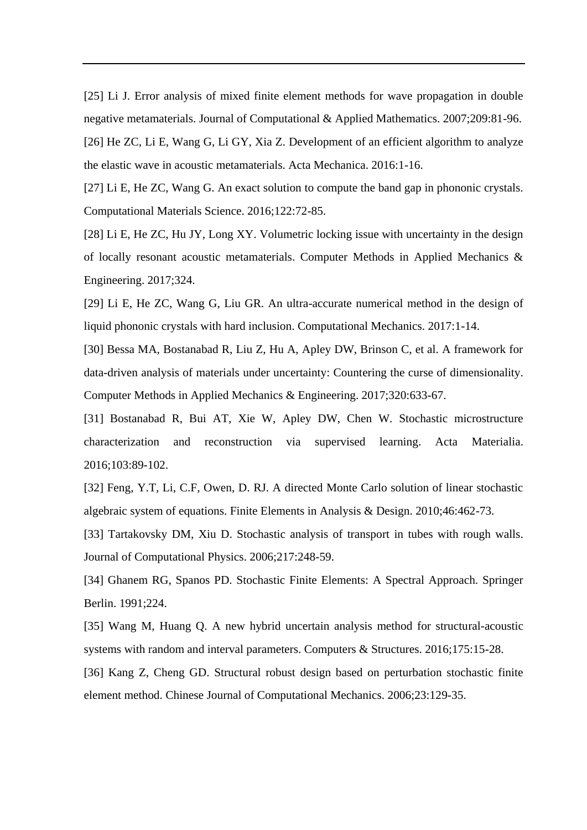<span id="page-38-1"></span><span id="page-38-0"></span>[25] Li J. Error analysis of mixed finite element methods for wave propagation in double negative metamaterials. Journal of Computational & Applied Mathematics. 2007;209:81-96. [26] He ZC, Li E, Wang G, Li GY, Xia Z. Development of an efficient algorithm to analyze the elastic wave in acoustic metamaterials. Acta Mechanica. 2016:1-16.

[27] Li E, He ZC, Wang G. An exact solution to compute the band gap in phononic crystals. Computational Materials Science. 2016;122:72-85.

[28] Li E, He ZC, Hu JY, Long XY. Volumetric locking issue with uncertainty in the design of locally resonant acoustic metamaterials. Computer Methods in Applied Mechanics & Engineering. 2017;324.

[29] Li E, He ZC, Wang G, Liu GR. An ultra-accurate numerical method in the design of liquid phononic crystals with hard inclusion. Computational Mechanics. 2017:1-14.

<span id="page-38-2"></span>[30] Bessa MA, Bostanabad R, Liu Z, Hu A, Apley DW, Brinson C, et al. A framework for data-driven analysis of materials under uncertainty: Countering the curse of dimensionality. Computer Methods in Applied Mechanics & Engineering. 2017;320:633-67.

<span id="page-38-3"></span>[31] Bostanabad R, Bui AT, Xie W, Apley DW, Chen W. Stochastic microstructure characterization and reconstruction via supervised learning. Acta Materialia. 2016;103:89-102.

<span id="page-38-4"></span>[32] Feng, Y.T, Li, C.F, Owen, D. RJ. A directed Monte Carlo solution of linear stochastic algebraic system of equations. Finite Elements in Analysis & Design. 2010;46:462-73.

<span id="page-38-5"></span>[33] Tartakovsky DM, Xiu D. Stochastic analysis of transport in tubes with rough walls. Journal of Computational Physics. 2006;217:248-59.

<span id="page-38-6"></span>[34] Ghanem RG, Spanos PD. Stochastic Finite Elements: A Spectral Approach. Springer Berlin. 1991;224.

<span id="page-38-7"></span>[35] Wang M, Huang Q. A new hybrid uncertain analysis method for structural-acoustic systems with random and interval parameters. Computers & Structures. 2016;175:15-28.

<span id="page-38-8"></span>[36] Kang Z, Cheng GD. Structural robust design based on perturbation stochastic finite element method. Chinese Journal of Computational Mechanics. 2006;23:129-35.